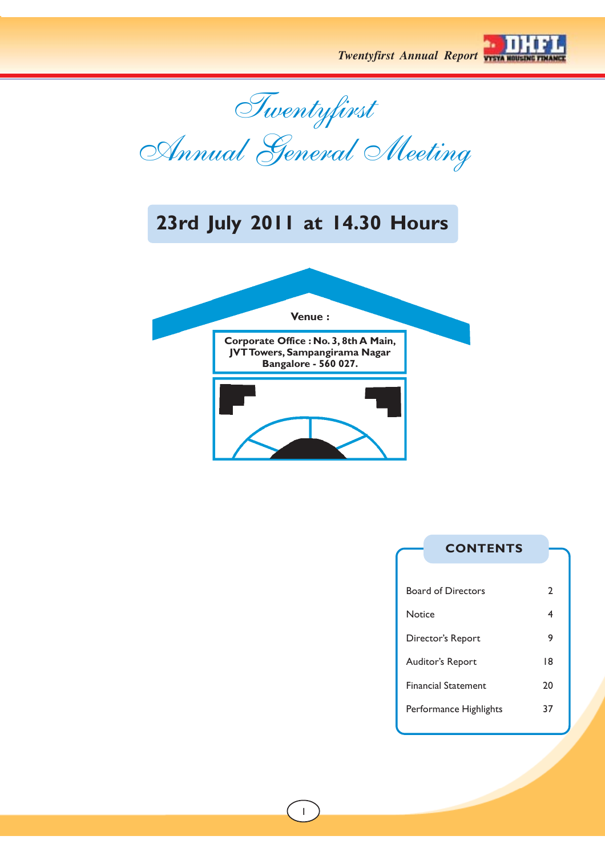

Twentyfirst

Annual General Meeting

## **23rd July 2011 at 14.30 Hours**



## **CONTENTS**

| 9  |
|----|
| 18 |
| 20 |
| 37 |
|    |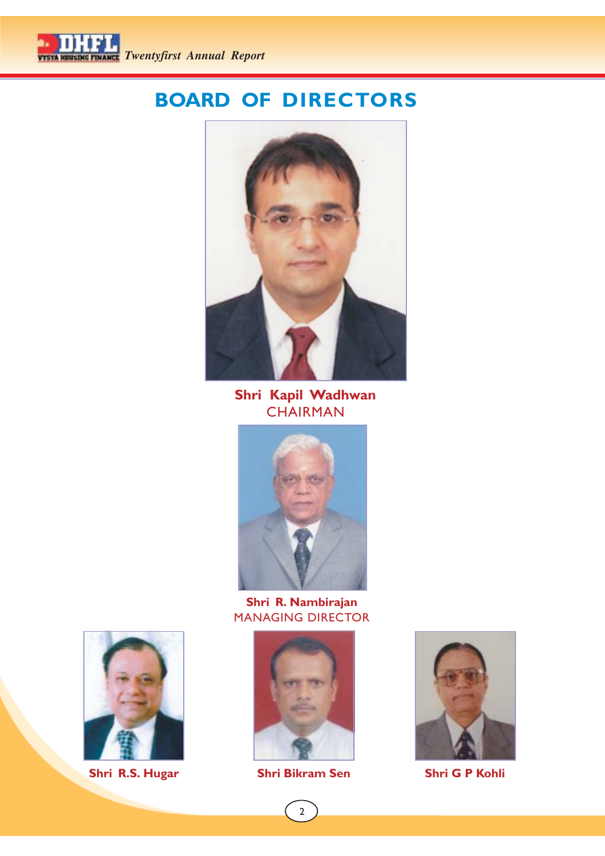

## **BOARD OF DIRECTORS**



**Shri Kapil Wadhwan CHAIRMAN** 



**Shri R. Nambirajan** MANAGING DIRECTOR







**Shri R.S. Hugar Shri Bikram Sen Shri G P Kohli**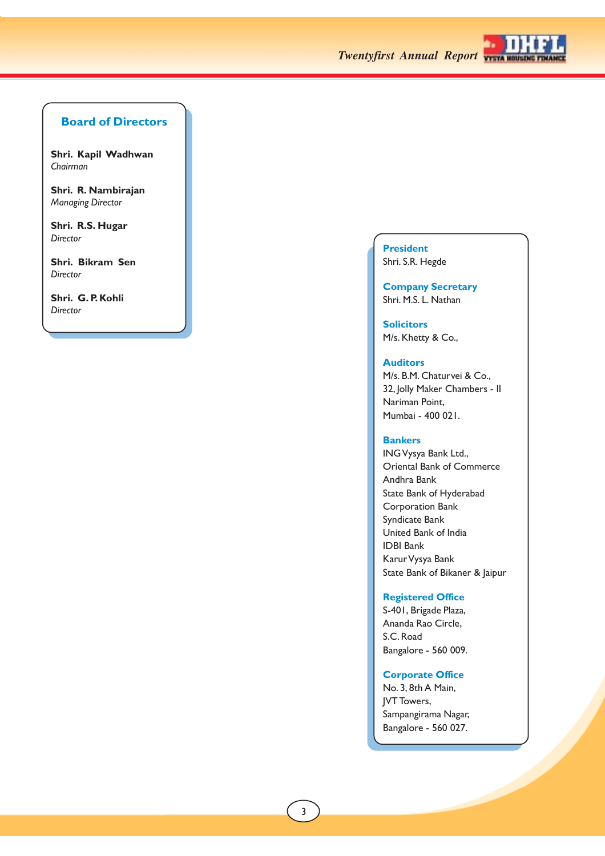

## **Board of Directors**

**Shri. Kapil Wadhwan** *Chairman*

**Shri. R. Nambirajan** *Managing Director*

**Shri. R.S. Hugar** *Director*

**Shri. Bikram Sen** *Director*

**Shri. G. P. Kohli** *Director*

## **President** Shri. S.R. Hegde

**Company Secretary** Shri. M.S. L. Nathan

**Solicitors** M/s. Khetty & Co.,

## **Auditors**

M/s. B.M. Chaturvei & Co., 32, Jolly Maker Chambers - II Nariman Point, Mumbai - 400 021.

## **Bankers**

ING Vysya Bank Ltd., Oriental Bank of Commerce Andhra Bank State Bank of Hyderabad Corporation Bank Syndicate Bank United Bank of India IDBI Bank Karur Vysya Bank State Bank of Bikaner & Jaipur

## **Registered Office**

S-401, Brigade Plaza, Ananda Rao Circle, S.C. Road Bangalore - 560 009.

## **Corporate Office**

No. 3, 8th A Main, JVT Towers, Sampangirama Nagar, Bangalore - 560 027.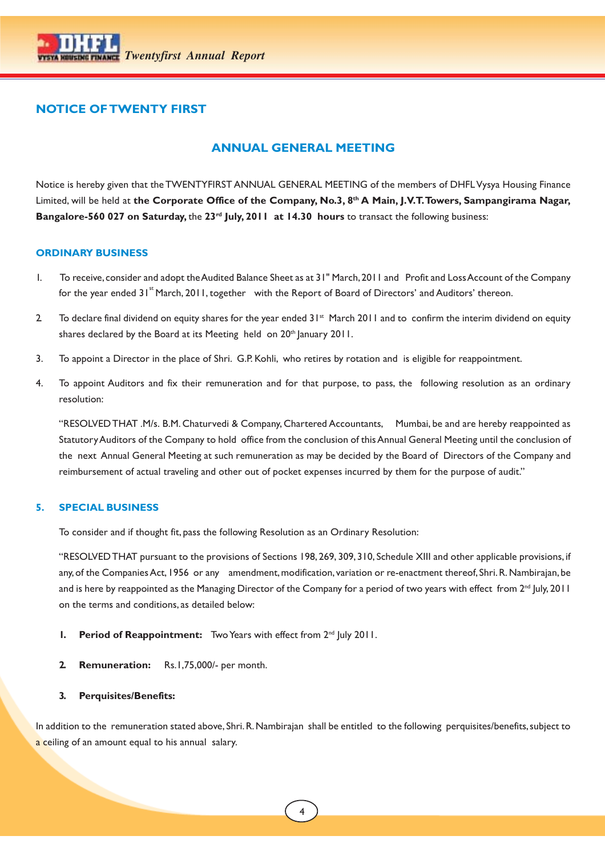

## **NOTICE OF TWENTY FIRST**

## **ANNUAL GENERAL MEETING**

Notice is hereby given that the TWENTYFIRST ANNUAL GENERAL MEETING of the members of DHFL Vysya Housing Finance Limited, will be held at **the Corporate Office of the Company, No.3, 8th A Main, J.V.T. Towers, Sampangirama Nagar, Bangalore-560 027 on Saturday,** the **23rd July, 2011 at 14.30 hours** to transact the following business:

## **ORDINARY BUSINESS**

- 1. To receive, consider and adopt the Audited Balance Sheet as at 31" March, 2011 and Profit and Loss Account of the Company for the year ended 31<sup>st</sup> March, 2011, together with the Report of Board of Directors' and Auditors' thereon.
- 2. To declare final dividend on equity shares for the year ended 31<sup>st</sup> March 2011 and to confirm the interim dividend on equity shares declared by the Board at its Meeting held on 20<sup>th</sup> January 2011.
- 3. To appoint a Director in the place of Shri. G.P. Kohli, who retires by rotation and is eligible for reappointment.
- 4. To appoint Auditors and fix their remuneration and for that purpose, to pass, the following resolution as an ordinary resolution:

"RESOLVED THAT *.*M/s. B.M. Chaturvedi & Company, Chartered Accountants, Mumbai, be and are hereby reappointed as Statutory Auditors of the Company to hold office from the conclusion of this Annual General Meeting until the conclusion of the next Annual General Meeting at such remuneration as may be decided by the Board of Directors of the Company and reimbursement of actual traveling and other out of pocket expenses incurred by them for the purpose of audit."

## **5. SPECIAL BUSINESS**

To consider and if thought fit, pass the following Resolution as an Ordinary Resolution:

"RESOLVED THAT pursuant to the provisions of Sections 198, 269, 309, 310, Schedule XIII and other applicable provisions, if any, of the Companies Act, 1956 or any amendment, modification, variation or re-enactment thereof, Shri. R. Nambirajan, be and is here by reappointed as the Managing Director of the Company for a period of two years with effect from  $2^{nd}$  July, 2011 on the terms and conditions, as detailed below:

- **1.** Period of Reappointment: Two Years with effect from 2<sup>nd</sup> July 2011.
- **2. Remuneration:** Rs.1,75,000/- per month.
- **3. Perquisites/Benefits:**

In addition to the remuneration stated above, Shri. R. Nambirajan shall be entitled to the following perquisites/benefits, subject to a ceiling of an amount equal to his annual salary.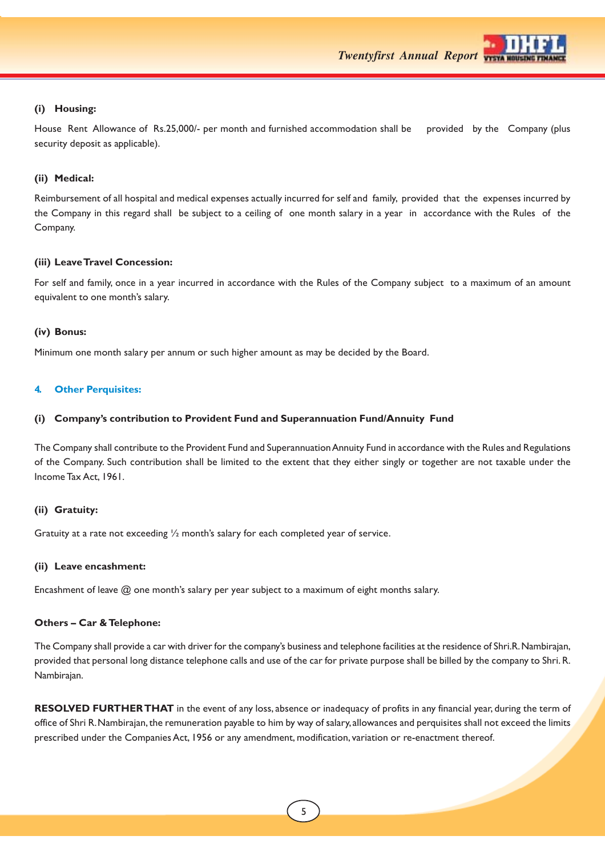

## **(i) Housing:**

House Rent Allowance of Rs.25,000/- per month and furnished accommodation shall be provided by the Company (plus security deposit as applicable).

## **(ii) Medical:**

Reimbursement of all hospital and medical expenses actually incurred for self and family, provided that the expenses incurred by the Company in this regard shall be subject to a ceiling of one month salary in a year in accordance with the Rules of the Company.

## **(iii) Leave Travel Concession:**

For self and family, once in a year incurred in accordance with the Rules of the Company subject to a maximum of an amount equivalent to one month's salary.

## **(iv) Bonus:**

Minimum one month salary per annum or such higher amount as may be decided by the Board.

## **4. Other Perquisites:**

## **(i) Company's contribution to Provident Fund and Superannuation Fund/Annuity Fund**

The Company shall contribute to the Provident Fund and Superannuation Annuity Fund in accordance with the Rules and Regulations of the Company. Such contribution shall be limited to the extent that they either singly or together are not taxable under the Income Tax Act, 1961.

## **(ii) Gratuity:**

Gratuity at a rate not exceeding  $\frac{1}{2}$  month's salary for each completed year of service.

## **(ii) Leave encashment:**

Encashment of leave @ one month's salary per year subject to a maximum of eight months salary.

## **Others – Car & Telephone:**

The Company shall provide a car with driver for the company's business and telephone facilities at the residence of Shri.R. Nambirajan, provided that personal long distance telephone calls and use of the car for private purpose shall be billed by the company to Shri. R. Nambirajan.

**RESOLVED FURTHER THAT** in the event of any loss, absence or inadequacy of profits in any financial year, during the term of office of Shri R. Nambirajan, the remuneration payable to him by way of salary, allowances and perquisites shall not exceed the limits prescribed under the Companies Act, 1956 or any amendment, modification, variation or re-enactment thereof.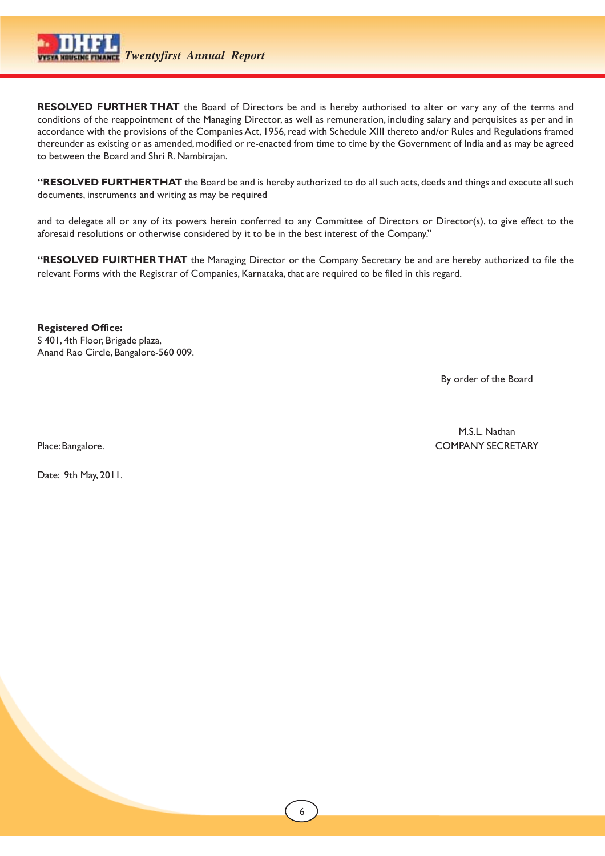

**RESOLVED FURTHER THAT** the Board of Directors be and is hereby authorised to alter or vary any of the terms and conditions of the reappointment of the Managing Director, as well as remuneration, including salary and perquisites as per and in accordance with the provisions of the Companies Act, 1956, read with Schedule XIII thereto and/or Rules and Regulations framed thereunder as existing or as amended, modified or re-enacted from time to time by the Government of India and as may be agreed to between the Board and Shri R. Nambirajan.

**"RESOLVED FURTHER THAT** the Board be and is hereby authorized to do all such acts, deeds and things and execute all such documents, instruments and writing as may be required

and to delegate all or any of its powers herein conferred to any Committee of Directors or Director(s), to give effect to the aforesaid resolutions or otherwise considered by it to be in the best interest of the Company."

**"RESOLVED FUIRTHER THAT** the Managing Director or the Company Secretary be and are hereby authorized to file the relevant Forms with the Registrar of Companies, Karnataka, that are required to be filed in this regard.

**Registered Office:** S 401, 4th Floor, Brigade plaza, Anand Rao Circle, Bangalore-560 009.

By order of the Board

M.S.L. Nathan Place: Bangalore. COMPANY SECRETARY

Date: 9th May, 2011.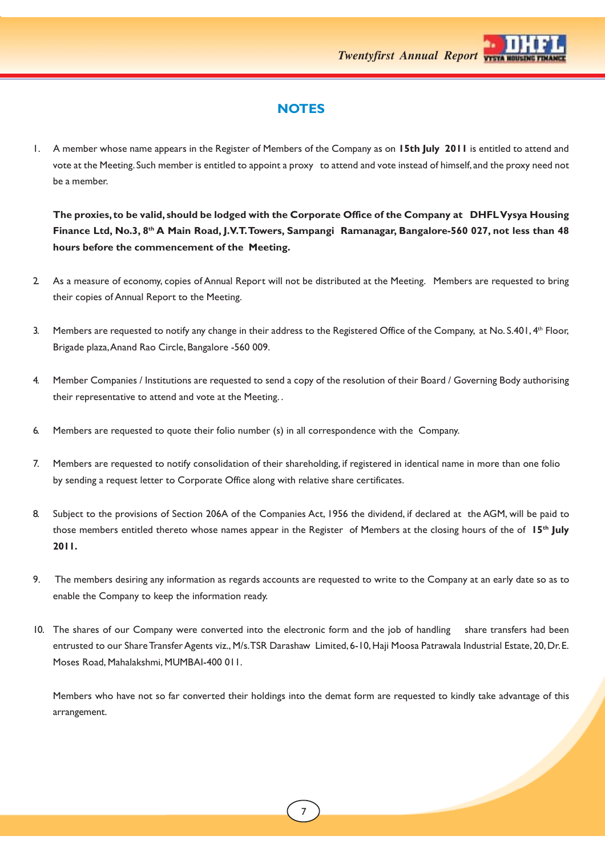

## **NOTES**

1. A member whose name appears in the Register of Members of the Company as on **15th July 2011** is entitled to attend and vote at the Meeting. Such member is entitled to appoint a proxy to attend and vote instead of himself, and the proxy need not be a member.

**The proxies, to be valid, should be lodged with the Corporate Office of the Company at DHFL Vysya Housing Finance Ltd, No.3, 8th A Main Road, J.V.T. Towers, Sampangi Ramanagar, Bangalore-560 027, not less than 48 hours before the commencement of the Meeting.**

- 2. As a measure of economy, copies of Annual Report will not be distributed at the Meeting. Members are requested to bring their copies of Annual Report to the Meeting.
- 3. Members are requested to notify any change in their address to the Registered Office of the Company, at No. S.401, 4th Floor, Brigade plaza, Anand Rao Circle, Bangalore -560 009.
- 4. Member Companies / Institutions are requested to send a copy of the resolution of their Board / Governing Body authorising their representative to attend and vote at the Meeting. .
- 6. Members are requested to quote their folio number (s) in all correspondence with the Company.
- 7. Members are requested to notify consolidation of their shareholding, if registered in identical name in more than one folio by sending a request letter to Corporate Office along with relative share certificates.
- 8. Subject to the provisions of Section 206A of the Companies Act, 1956 the dividend, if declared at the AGM, will be paid to those members entitled thereto whose names appear in the Register of Members at the closing hours of the of **15th July 2011.**
- 9. The members desiring any information as regards accounts are requested to write to the Company at an early date so as to enable the Company to keep the information ready.
- 10. The shares of our Company were converted into the electronic form and the job of handling share transfers had been entrusted to our Share Transfer Agents viz., M/s. TSR Darashaw Limited, 6-10, Haji Moosa Patrawala Industrial Estate, 20, Dr. E. Moses Road, Mahalakshmi, MUMBAI-400 011.

Members who have not so far converted their holdings into the demat form are requested to kindly take advantage of this arrangement.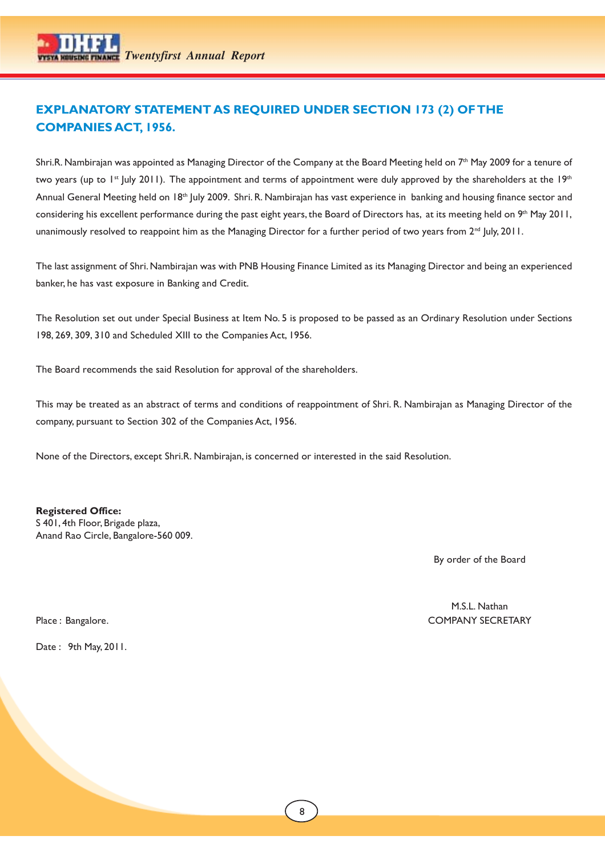## **EXPLANATORY STATEMENT AS REQUIRED UNDER SECTION 173 (2) OF THE COMPANIES ACT, 1956.**

Shri.R. Nambirajan was appointed as Managing Director of the Company at the Board Meeting held on 7<sup>th</sup> May 2009 for a tenure of two years (up to  $1^{\text{st}}$  July 2011). The appointment and terms of appointment were duly approved by the shareholders at the 19<sup>th</sup> Annual General Meeting held on 18th July 2009. Shri. R. Nambirajan has vast experience in banking and housing finance sector and considering his excellent performance during the past eight years, the Board of Directors has, at its meeting held on 9<sup>th</sup> May 2011, unanimously resolved to reappoint him as the Managing Director for a further period of two years from 2<sup>nd</sup> July, 2011.

The last assignment of Shri. Nambirajan was with PNB Housing Finance Limited as its Managing Director and being an experienced banker, he has vast exposure in Banking and Credit.

The Resolution set out under Special Business at Item No. 5 is proposed to be passed as an Ordinary Resolution under Sections 198, 269, 309, 310 and Scheduled XIII to the Companies Act, 1956.

The Board recommends the said Resolution for approval of the shareholders.

This may be treated as an abstract of terms and conditions of reappointment of Shri. R. Nambirajan as Managing Director of the company, pursuant to Section 302 of the Companies Act, 1956.

None of the Directors, except Shri.R. Nambirajan, is concerned or interested in the said Resolution.

## **Registered Office:**

S 401, 4th Floor, Brigade plaza, Anand Rao Circle, Bangalore-560 009.

By order of the Board

Date : 9th May, 2011.

M.S.L. Nathan Place : Bangalore. COMPANY SECRETARY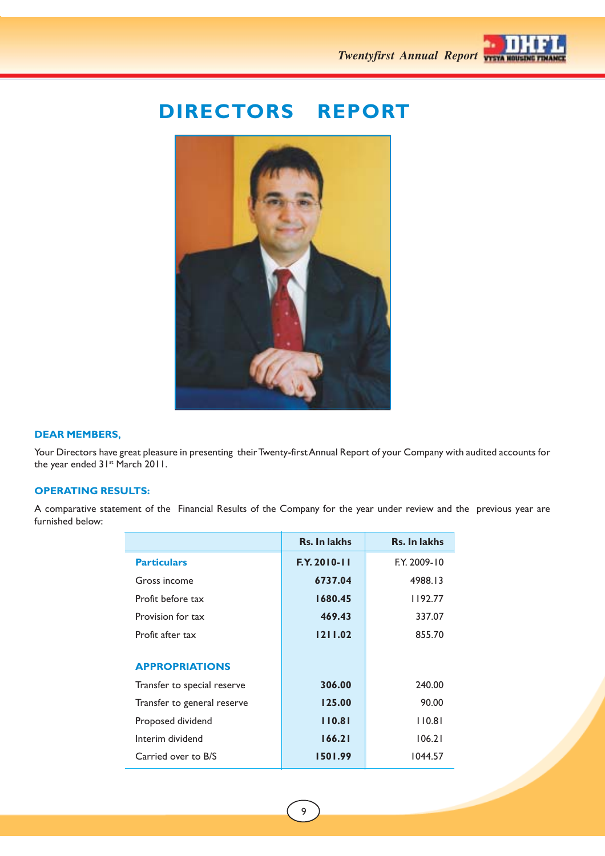

## **DIRECTORS REPORT**



## **DEAR MEMBERS,**

Your Directors have great pleasure in presenting their Twenty-first Annual Report of your Company with audited accounts for the year ended 31<sup>st</sup> March 2011.

## **OPERATING RESULTS:**

A comparative statement of the Financial Results of the Company for the year under review and the previous year are furnished below:

|                             | Rs. In lakhs        | <b>Rs. In lakhs</b> |
|-----------------------------|---------------------|---------------------|
| <b>Particulars</b>          | <b>F.Y. 2010-11</b> | F.Y. 2009-10        |
| Gross income                | 6737.04             | 4988.13             |
| Profit before tax           | 1680.45             | 1192.77             |
| Provision for tax           | 469.43              | 337.07              |
| Profit after tax            | 1211.02             | 855.70              |
|                             |                     |                     |
| <b>APPROPRIATIONS</b>       |                     |                     |
| Transfer to special reserve | 306.00              | 240.00              |
| Transfer to general reserve | 125.00              | 90.00               |
| Proposed dividend           | 110.81              | 110.81              |
| Interim dividend            | 166.21              | 106.21              |
| Carried over to B/S         | 1501.99             | 1044.57             |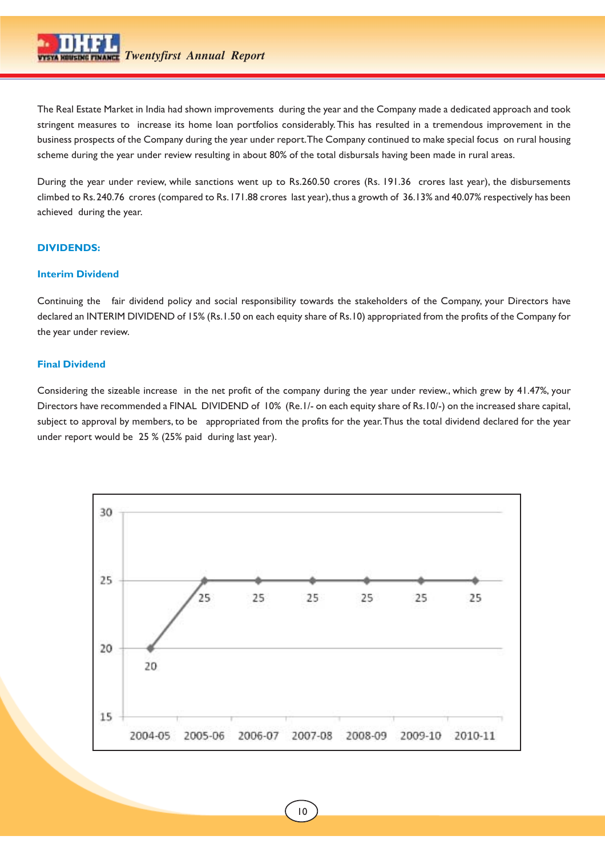The Real Estate Market in India had shown improvements during the year and the Company made a dedicated approach and took stringent measures to increase its home loan portfolios considerably. This has resulted in a tremendous improvement in the business prospects of the Company during the year under report. The Company continued to make special focus on rural housing scheme during the year under review resulting in about 80% of the total disbursals having been made in rural areas.

During the year under review, while sanctions went up to Rs.260.50 crores (Rs. 191.36 crores last year), the disbursements climbed to Rs. 240.76 crores (compared to Rs. 171.88 crores last year), thus a growth of 36.13% and 40.07% respectively has been achieved during the year.

## **DIVIDENDS:**

## **Interim Dividend**

Continuing the fair dividend policy and social responsibility towards the stakeholders of the Company, your Directors have declared an INTERIM DIVIDEND of 15% (Rs.1.50 on each equity share of Rs.10) appropriated from the profits of the Company for the year under review.

## **Final Dividend**

Considering the sizeable increase in the net profit of the company during the year under review., which grew by 41.47%, your Directors have recommended a FINAL DIVIDEND of 10% (Re.1/- on each equity share of Rs.10/-) on the increased share capital, subject to approval by members, to be appropriated from the profits for the year. Thus the total dividend declared for the year under report would be 25 % (25% paid during last year).

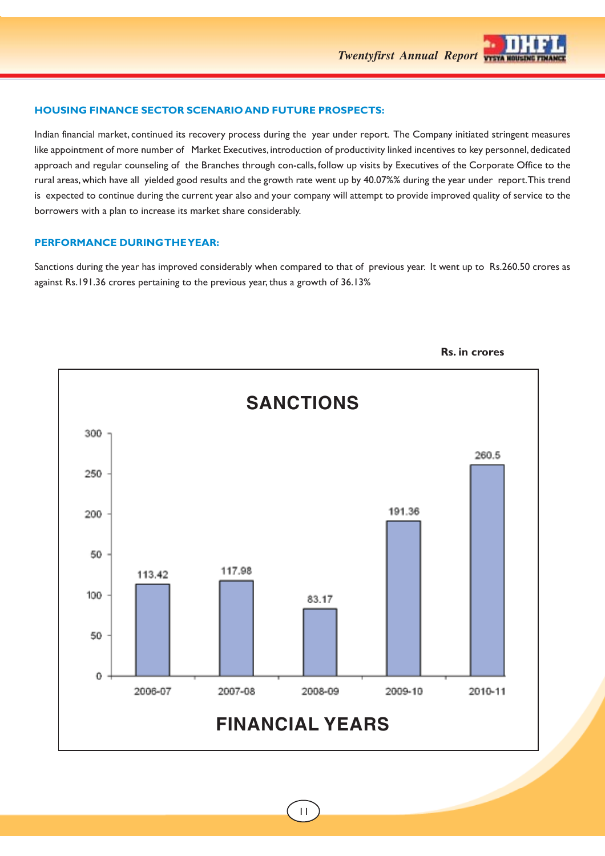

## **HOUSING FINANCE SECTOR SCENARIO AND FUTURE PROSPECTS:**

Indian financial market, continued its recovery process during the year under report. The Company initiated stringent measures like appointment of more number of Market Executives, introduction of productivity linked incentives to key personnel, dedicated approach and regular counseling of the Branches through con-calls, follow up visits by Executives of the Corporate Office to the rural areas, which have all yielded good results and the growth rate went up by 40.07%% during the year under report. This trend is expected to continue during the current year also and your company will attempt to provide improved quality of service to the borrowers with a plan to increase its market share considerably.

## **PERFORMANCE DURING THE YEAR:**

Sanctions during the year has improved considerably when compared to that of previous year. It went up to Rs.260.50 crores as against Rs.191.36 crores pertaining to the previous year, thus a growth of 36.13%



**Rs. in crores**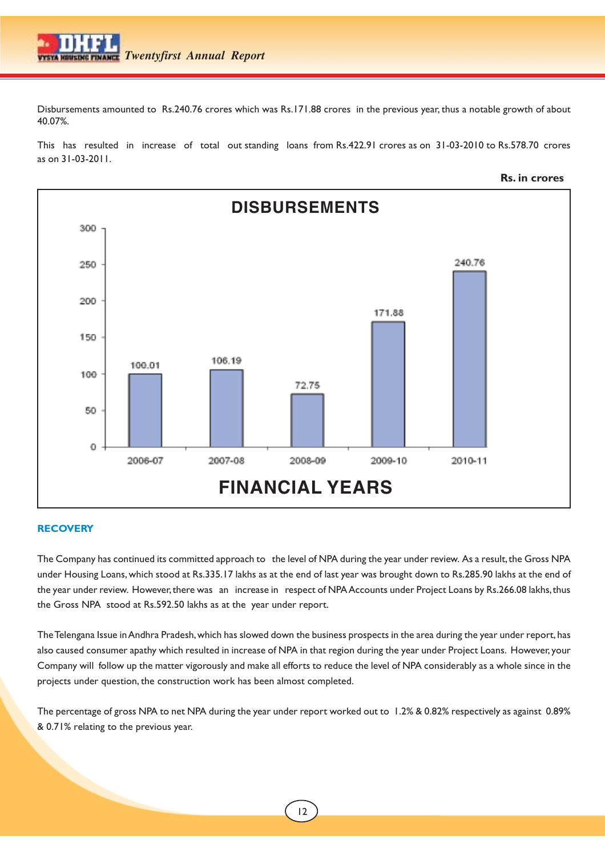Disbursements amounted to Rs.240.76 crores which was Rs.171.88 crores in the previous year, thus a notable growth of about 40.07%.

This has resulted in increase of total out standing loans from Rs.422.91 crores as on 31-03-2010 to Rs.578.70 crores as on 31-03-2011.



## **RECOVERY**

The Company has continued its committed approach to the level of NPA during the year under review. As a result, the Gross NPA under Housing Loans, which stood at Rs.335.17 lakhs as at the end of last year was brought down to Rs.285.90 lakhs at the end of the year under review. However, there was an increase in respect of NPA Accounts under Project Loans by Rs.266.08 lakhs, thus the Gross NPA stood at Rs.592.50 lakhs as at the year under report.

The Telengana Issue in Andhra Pradesh, which has slowed down the business prospects in the area during the year under report, has also caused consumer apathy which resulted in increase of NPA in that region during the year under Project Loans. However, your Company will follow up the matter vigorously and make all efforts to reduce the level of NPA considerably as a whole since in the projects under question, the construction work has been almost completed.

The percentage of gross NPA to net NPA during the year under report worked out to 1.2% & 0.82% respectively as against 0.89% & 0.71% relating to the previous year.

**Rs. in crores**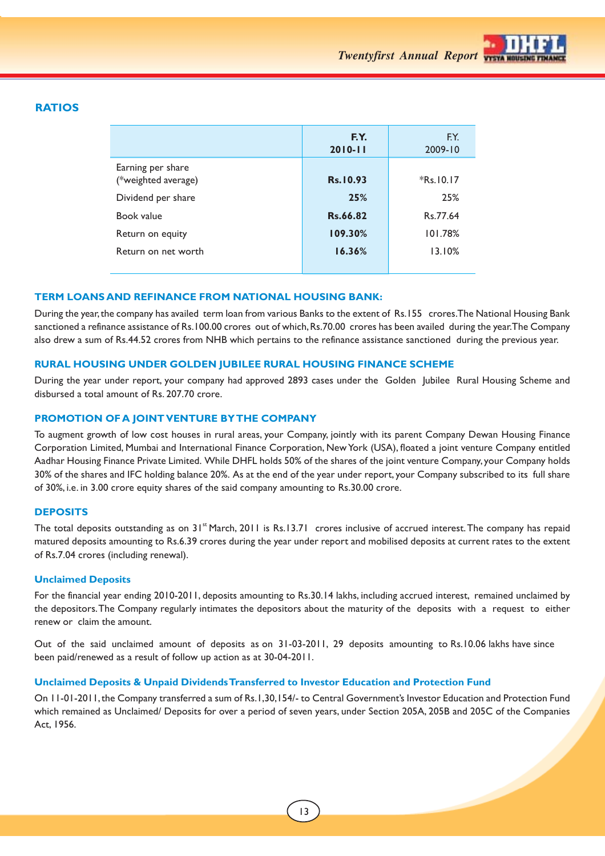

## **RATIOS**

|                                          | F.Y.<br>$2010 - 11$ | F.Y.<br>2009-10 |
|------------------------------------------|---------------------|-----------------|
| Earning per share<br>(*weighted average) | Rs. 10.93           | $*$ Rs. 10.17   |
| Dividend per share                       | 25%                 | 25%             |
| Book value                               | Rs.66.82            | Rs 77.64        |
| Return on equity                         | 109.30%             | 101.78%         |
| Return on net worth                      | 16.36%              | 13.10%          |
|                                          |                     |                 |

## **TERM LOANS AND REFINANCE FROM NATIONAL HOUSING BANK:**

During the year, the company has availed term loan from various Banks to the extent of Rs.155 crores. The National Housing Bank sanctioned a refinance assistance of Rs.100.00 crores out of which, Rs.70.00 crores has been availed during the year. The Company also drew a sum of Rs.44.52 crores from NHB which pertains to the refinance assistance sanctioned during the previous year.

## **RURAL HOUSING UNDER GOLDEN JUBILEE RURAL HOUSING FINANCE SCHEME**

During the year under report, your company had approved 2893 cases under the Golden Jubilee Rural Housing Scheme and disbursed a total amount of Rs. 207.70 crore.

## **PROMOTION OF A JOINT VENTURE BY THE COMPANY**

To augment growth of low cost houses in rural areas, your Company, jointly with its parent Company Dewan Housing Finance Corporation Limited, Mumbai and International Finance Corporation, New York (USA), floated a joint venture Company entitled Aadhar Housing Finance Private Limited. While DHFL holds 50% of the shares of the joint venture Company, your Company holds 30% of the shares and IFC holding balance 20%. As at the end of the year under report, your Company subscribed to its full share of 30%, i.e. in 3.00 crore equity shares of the said company amounting to Rs.30.00 crore.

## **DEPOSITS**

The total deposits outstanding as on 31<sup>st</sup> March, 2011 is Rs.13.71 crores inclusive of accrued interest. The company has repaid matured deposits amounting to Rs.6.39 crores during the year under report and mobilised deposits at current rates to the extent of Rs.7.04 crores (including renewal).

#### **Unclaimed Deposits**

For the financial year ending 2010-2011, deposits amounting to Rs.30.14 lakhs, including accrued interest, remained unclaimed by the depositors. The Company regularly intimates the depositors about the maturity of the deposits with a request to either renew or claim the amount.

Out of the said unclaimed amount of deposits as on 31-03-2011, 29 deposits amounting to Rs.10.06 lakhs have since been paid/renewed as a result of follow up action as at 30-04-2011.

## **Unclaimed Deposits & Unpaid Dividends Transferred to Investor Education and Protection Fund**

On 11-01-2011, the Company transferred a sum of Rs.1,30,154/- to Central Government's Investor Education and Protection Fund which remained as Unclaimed/ Deposits for over a period of seven years, under Section 205A, 205B and 205C of the Companies Act, 1956.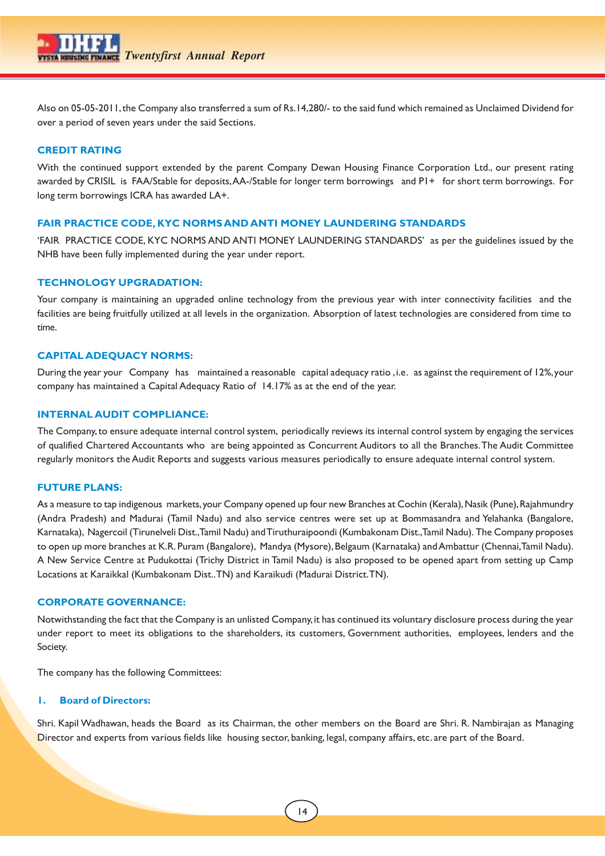

Also on 05-05-2011, the Company also transferred a sum of Rs.14,280/- to the said fund which remained as Unclaimed Dividend for over a period of seven years under the said Sections.

## **CREDIT RATING**

With the continued support extended by the parent Company Dewan Housing Finance Corporation Ltd., our present rating awarded by CRISIL is FAA/Stable for deposits, AA-/Stable for longer term borrowings and P1+ for short term borrowings. For long term borrowings ICRA has awarded LA+.

## **FAIR PRACTICE CODE, KYC NORMS AND ANTI MONEY LAUNDERING STANDARDS**

'FAIR PRACTICE CODE, KYC NORMS AND ANTI MONEY LAUNDERING STANDARDS' as per the guidelines issued by the NHB have been fully implemented during the year under report.

## **TECHNOLOGY UPGRADATION:**

Your company is maintaining an upgraded online technology from the previous year with inter connectivity facilities and the facilities are being fruitfully utilized at all levels in the organization. Absorption of latest technologies are considered from time to time.

### **CAPITAL ADEQUACY NORMS:**

During the year your Company has maintained a reasonable capital adequacy ratio , i.e. as against the requirement of 12%, your company has maintained a Capital Adequacy Ratio of 14.17% as at the end of the year.

## **INTERNAL AUDIT COMPLIANCE:**

The Company, to ensure adequate internal control system, periodically reviews its internal control system by engaging the services of qualified Chartered Accountants who are being appointed as Concurrent Auditors to all the Branches. The Audit Committee regularly monitors the Audit Reports and suggests various measures periodically to ensure adequate internal control system.

### **FUTURE PLANS:**

As a measure to tap indigenous markets, your Company opened up four new Branches at Cochin (Kerala), Nasik (Pune), Rajahmundry (Andra Pradesh) and Madurai (Tamil Nadu) and also service centres were set up at Bommasandra and Yelahanka (Bangalore, Karnataka), Nagercoil (Tirunelveli Dist., Tamil Nadu) and Tiruthuraipoondi (Kumbakonam Dist., Tamil Nadu). The Company proposes to open up more branches at K.R. Puram (Bangalore), Mandya (Mysore), Belgaum (Karnataka) and Ambattur (Chennai, Tamil Nadu). A New Service Centre at Pudukottai (Trichy District in Tamil Nadu) is also proposed to be opened apart from setting up Camp Locations at Karaikkal (Kumbakonam Dist.. TN) and Karaikudi (Madurai District. TN).

## **CORPORATE GOVERNANCE:**

Notwithstanding the fact that the Company is an unlisted Company, it has continued its voluntary disclosure process during the year under report to meet its obligations to the shareholders, its customers, Government authorities, employees, lenders and the Society.

The company has the following Committees:

### **1. Board of Directors:**

Shri. Kapil Wadhawan, heads the Board as its Chairman, the other members on the Board are Shri. R. Nambirajan as Managing Director and experts from various fields like housing sector, banking, legal, company affairs, etc. are part of the Board.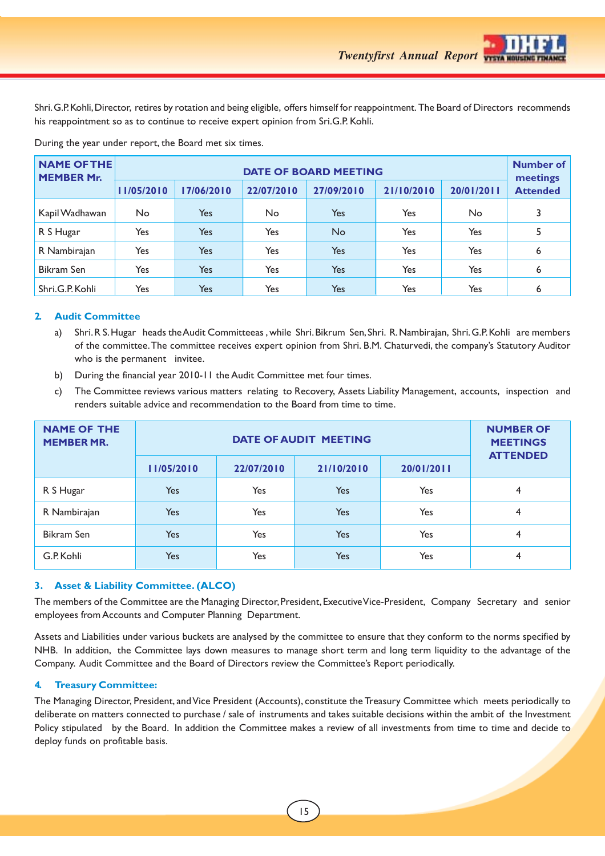Shri. G.P. Kohli, Director, retires by rotation and being eligible, offers himself for reappointment. The Board of Directors recommends his reappointment so as to continue to receive expert opinion from Sri.G.P. Kohli.

| <b>NAME OF THE</b><br><b>MEMBER Mr.</b> | <b>DATE OF BOARD MEETING</b> |            |            |            |            |            |                             |  |
|-----------------------------------------|------------------------------|------------|------------|------------|------------|------------|-----------------------------|--|
|                                         | 11/05/2010                   | 17/06/2010 | 22/07/2010 | 27/09/2010 | 21/10/2010 | 20/01/2011 | meetings<br><b>Attended</b> |  |
| Kapil Wadhawan                          | No                           | Yes        | No         | Yes        | Yes        | No         | 3                           |  |
| R S Hugar                               | Yes                          | <b>Yes</b> | Yes        | <b>No</b>  | Yes        | Yes        | 5                           |  |
| R Nambirajan                            | Yes                          | Yes        | Yes        | <b>Yes</b> | Yes        | Yes        | 6                           |  |
| <b>Bikram Sen</b>                       | Yes                          | <b>Yes</b> | Yes        | Yes        | Yes        | Yes        | 6                           |  |
| Shri.G.P. Kohli                         | Yes                          | Yes        | Yes        | Yes        | Yes        | Yes        | 6                           |  |

During the year under report, the Board met six times.

## **2. Audit Committee**

- a) Shri. R S. Hugar heads the Audit Committeeas , while Shri. Bikrum Sen, Shri. R. Nambirajan, Shri. G.P. Kohli are members of the committee. The committee receives expert opinion from Shri. B.M. Chaturvedi, the company's Statutory Auditor who is the permanent invitee.
- b) During the financial year 2010-11 the Audit Committee met four times.
- c) The Committee reviews various matters relating to Recovery, Assets Liability Management, accounts, inspection and renders suitable advice and recommendation to the Board from time to time.

| <b>NAME OF THE</b><br><b>MEMBER MR.</b> |            |            | <b>DATE OF AUDIT MEETING</b> |            | <b>NUMBER OF</b><br><b>MEETINGS</b><br><b>ATTENDED</b> |
|-----------------------------------------|------------|------------|------------------------------|------------|--------------------------------------------------------|
|                                         | 11/05/2010 | 22/07/2010 | 21/10/2010                   | 20/01/2011 |                                                        |
| R S Hugar                               | Yes        | Yes        | Yes                          | Yes        | 4                                                      |
| R Nambirajan                            | Yes        | <b>Yes</b> | Yes                          | Yes        | 4                                                      |
| <b>Bikram Sen</b>                       | Yes        | Yes        | Yes                          | Yes        | 4                                                      |
| G.P. Kohli                              | Yes        | Yes        | Yes                          | Yes        | 4                                                      |

## **3. Asset & Liability Committee. (ALCO)**

The members of the Committee are the Managing Director, President, Executive Vice-President, Company Secretary and senior employees from Accounts and Computer Planning Department.

Assets and Liabilities under various buckets are analysed by the committee to ensure that they conform to the norms specified by NHB. In addition, the Committee lays down measures to manage short term and long term liquidity to the advantage of the Company. Audit Committee and the Board of Directors review the Committee's Report periodically.

## **4. Treasury Committee:**

The Managing Director, President, and Vice President (Accounts), constitute the Treasury Committee which meets periodically to deliberate on matters connected to purchase / sale of instruments and takes suitable decisions within the ambit of the Investment Policy stipulated by the Board. In addition the Committee makes a review of all investments from time to time and decide to deploy funds on profitable basis.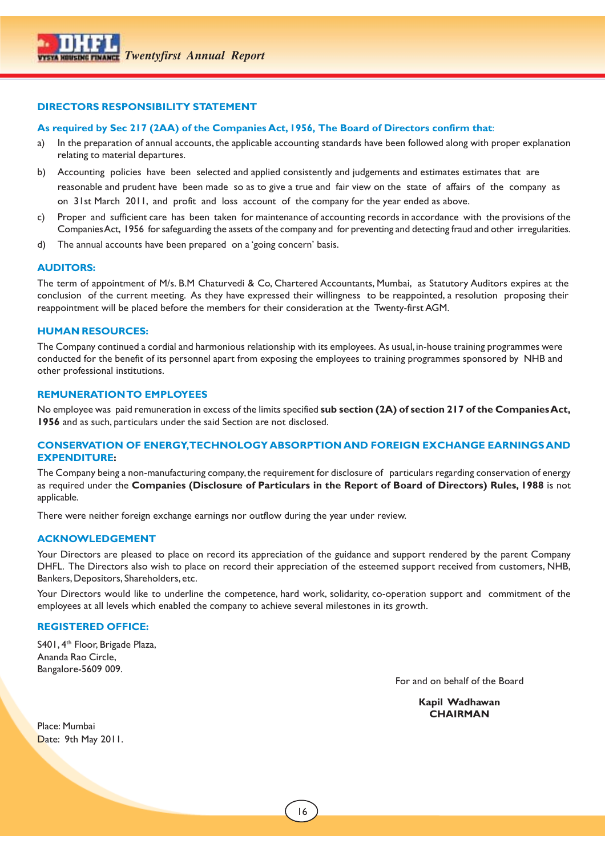## **DIRECTORS RESPONSIBILITY STATEMENT**

## **As required by Sec 217 (2AA) of the Companies Act, 1956, The Board of Directors confirm that**:

- a) In the preparation of annual accounts, the applicable accounting standards have been followed along with proper explanation relating to material departures.
- b) Accounting policies have been selected and applied consistently and judgements and estimates estimates that are reasonable and prudent have been made so as to give a true and fair view on the state of affairs of the company as on 31st March 2011, and profit and loss account of the company for the year ended as above.
- c) Proper and sufficient care has been taken for maintenance of accounting records in accordance with the provisions of the Companies Act, 1956 for safeguarding the assets of the company and for preventing and detecting fraud and other irregularities.
- d) The annual accounts have been prepared on a 'going concern' basis.

## **AUDITORS:**

The term of appointment of M/s. B.M Chaturvedi & Co, Chartered Accountants, Mumbai, as Statutory Auditors expires at the conclusion of the current meeting. As they have expressed their willingness to be reappointed, a resolution proposing their reappointment will be placed before the members for their consideration at the Twenty-first AGM.

## **HUMAN RESOURCES:**

The Company continued a cordial and harmonious relationship with its employees. As usual, in-house training programmes were conducted for the benefit of its personnel apart from exposing the employees to training programmes sponsored by NHB and other professional institutions.

## **REMUNERATION TO EMPLOYEES**

No employee was paid remuneration in excess of the limits specified **sub section (2A) of section 217 of the Companies Act, 1956** and as such, particulars under the said Section are not disclosed.

## **CONSERVATION OF ENERGY, TECHNOLOGY ABSORPTION AND FOREIGN EXCHANGE EARNINGS AND EXPENDITURE:**

The Company being a non-manufacturing company, the requirement for disclosure of particulars regarding conservation of energy as required under the **Companies (Disclosure of Particulars in the Report of Board of Directors) Rules, 1988** is not applicable.

There were neither foreign exchange earnings nor outflow during the year under review.

## **ACKNOWLEDGEMENT**

Your Directors are pleased to place on record its appreciation of the guidance and support rendered by the parent Company DHFL. The Directors also wish to place on record their appreciation of the esteemed support received from customers, NHB, Bankers, Depositors, Shareholders, etc.

Your Directors would like to underline the competence, hard work, solidarity, co-operation support and commitment of the employees at all levels which enabled the company to achieve several milestones in its growth.

## **REGISTERED OFFICE:**

S401, 4<sup>th</sup> Floor, Brigade Plaza, Ananda Rao Circle, Bangalore-5609 009.

For and on behalf of the Board

**Kapil Wadhawan CHAIRMAN**

Place: Mumbai Date: 9th May 2011.

 $\overline{\phantom{a}}$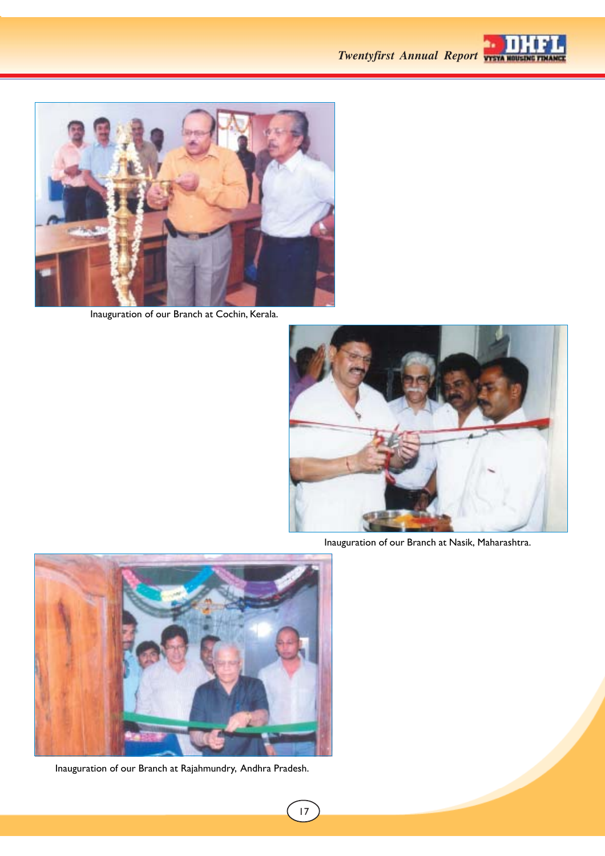



Inauguration of our Branch at Cochin, Kerala.



Inauguration of our Branch at Nasik, Maharashtra.



Inauguration of our Branch at Rajahmundry, Andhra Pradesh.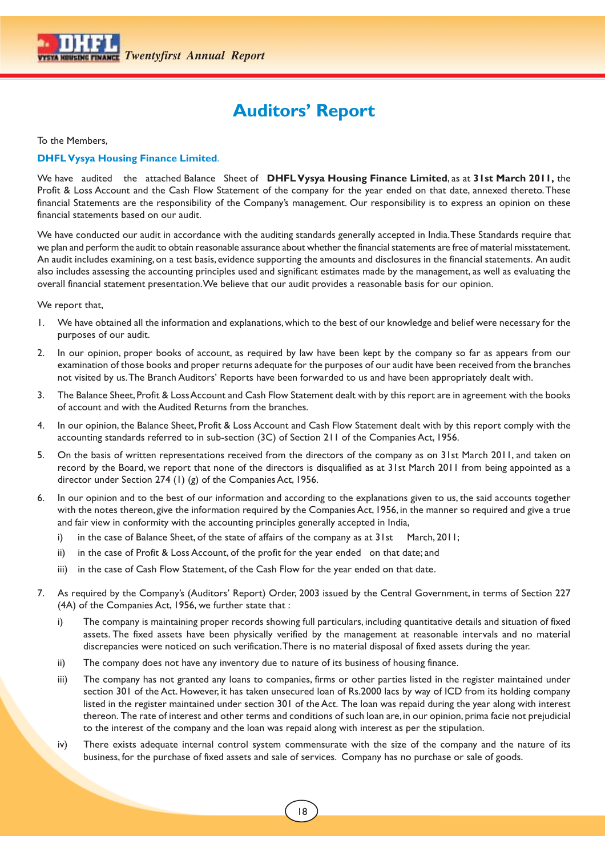

## **Auditors' Report**

To the Members,

## **DHFL Vysya Housing Finance Limited**.

We have audited the attached Balance Sheet of **DHFL Vysya Housing Finance Limited**, as at **31st March 2011,** the Profit & Loss Account and the Cash Flow Statement of the company for the year ended on that date, annexed thereto. These financial Statements are the responsibility of the Company's management. Our responsibility is to express an opinion on these financial statements based on our audit.

We have conducted our audit in accordance with the auditing standards generally accepted in India. These Standards require that we plan and perform the audit to obtain reasonable assurance about whether the financial statements are free of material misstatement. An audit includes examining, on a test basis, evidence supporting the amounts and disclosures in the financial statements. An audit also includes assessing the accounting principles used and significant estimates made by the management, as well as evaluating the overall financial statement presentation. We believe that our audit provides a reasonable basis for our opinion.

We report that,

- 1. We have obtained all the information and explanations, which to the best of our knowledge and belief were necessary for the purposes of our audit.
- 2. In our opinion, proper books of account, as required by law have been kept by the company so far as appears from our examination of those books and proper returns adequate for the purposes of our audit have been received from the branches not visited by us. The Branch Auditors' Reports have been forwarded to us and have been appropriately dealt with.
- 3. The Balance Sheet, Profit & Loss Account and Cash Flow Statement dealt with by this report are in agreement with the books of account and with the Audited Returns from the branches.
- 4. In our opinion, the Balance Sheet, Profit & Loss Account and Cash Flow Statement dealt with by this report comply with the accounting standards referred to in sub-section (3C) of Section 211 of the Companies Act, 1956.
- 5. On the basis of written representations received from the directors of the company as on 31st March 2011, and taken on record by the Board, we report that none of the directors is disqualified as at 31st March 2011 from being appointed as a director under Section 274 (1) (g) of the Companies Act, 1956.
- In our opinion and to the best of our information and according to the explanations given to us, the said accounts together with the notes thereon, give the information required by the Companies Act, 1956, in the manner so required and give a true and fair view in conformity with the accounting principles generally accepted in India,
	- i) in the case of Balance Sheet, of the state of affairs of the company as at 31st March, 2011;
	- ii) in the case of Profit & Loss Account, of the profit for the year ended on that date; and
	- iii) in the case of Cash Flow Statement, of the Cash Flow for the year ended on that date.
- 7. As required by the Company's (Auditors' Report) Order, 2003 issued by the Central Government, in terms of Section 227 (4A) of the Companies Act, 1956, we further state that :
	- i) The company is maintaining proper records showing full particulars, including quantitative details and situation of fixed assets. The fixed assets have been physically verified by the management at reasonable intervals and no material discrepancies were noticed on such verification. There is no material disposal of fixed assets during the year.
	- ii) The company does not have any inventory due to nature of its business of housing finance.
	- iii) The company has not granted any loans to companies, firms or other parties listed in the register maintained under section 301 of the Act. However, it has taken unsecured loan of Rs.2000 lacs by way of ICD from its holding company listed in the register maintained under section 301 of the Act. The loan was repaid during the year along with interest thereon. The rate of interest and other terms and conditions of such loan are, in our opinion, prima facie not prejudicial to the interest of the company and the loan was repaid along with interest as per the stipulation.
	- iv) There exists adequate internal control system commensurate with the size of the company and the nature of its business, for the purchase of fixed assets and sale of services. Company has no purchase or sale of goods.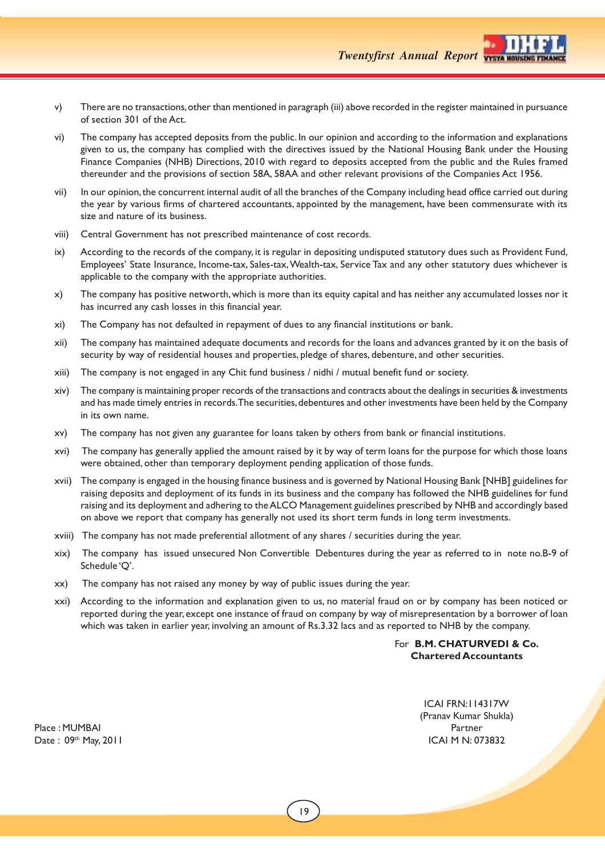

- v) There are no transactions, other than mentioned in paragraph (iii) above recorded in the register maintained in pursuance of section 301 of the Act.
- vi) The company has accepted deposits from the public. In our opinion and according to the information and explanations given to us, the company has complied with the directives issued by the National Housing Bank under the Housing Finance Companies (NHB) Directions, 2010 with regard to deposits accepted from the public and the Rules framed thereunder and the provisions of section 58A, 58AA and other relevant provisions of the Companies Act 1956.
- vii) In our opinion, the concurrent internal audit of all the branches of the Company including head office carried out during the year by various firms of chartered accountants, appointed by the management, have been commensurate with its size and nature of its business.
- viii) Central Government has not prescribed maintenance of cost records.
- ix) According to the records of the company, it is regular in depositing undisputed statutory dues such as Provident Fund, Employees' State Insurance, Income-tax, Sales-tax, Wealth-tax, Service Tax and any other statutory dues whichever is applicable to the company with the appropriate authorities.
- x) The company has positive networth, which is more than its equity capital and has neither any accumulated losses nor it has incurred any cash losses in this financial year.
- xi) The Company has not defaulted in repayment of dues to any financial institutions or bank.
- xii) The company has maintained adequate documents and records for the loans and advances granted by it on the basis of security by way of residential houses and properties, pledge of shares, debenture, and other securities.
- xiii) The company is not engaged in any Chit fund business / nidhi / mutual benefit fund or society.
- xiv) The company is maintaining proper records of the transactions and contracts about the dealings in securities & investments and has made timely entries in records. The securities, debentures and other investments have been held by the Company in its own name.
- xv) The company has not given any guarantee for loans taken by others from bank or financial institutions.
- xvi) The company has generally applied the amount raised by it by way of term loans for the purpose for which those loans were obtained, other than temporary deployment pending application of those funds.
- xvii) The company is engaged in the housing finance business and is governed by National Housing Bank [NHB] guidelines for raising deposits and deployment of its funds in its business and the company has followed the NHB guidelines for fund raising and its deployment and adhering to the ALCO Management guidelines prescribed by NHB and accordingly based on above we report that company has generally not used its short term funds in long term investments.
- xviii) The company has not made preferential allotment of any shares / securities during the year.
- xix) The company has issued unsecured Non Convertible Debentures during the year as referred to in note no.B-9 of Schedule 'Q'.
- xx) The company has not raised any money by way of public issues during the year.
- xxi) According to the information and explanation given to us, no material fraud on or by company has been noticed or reported during the year, except one instance of fraud on company by way of misrepresentation by a borrower of loan which was taken in earlier year, involving an amount of Rs.3.32 lacs and as reported to NHB by the company.

## For **B.M. CHATURVEDI & Co. Chartered Accountants**

ICAI FRN:114317W (Pranav Kumar Shukla) Place : MUMBAI Partner Partner Partner Partner Partner Partner Partner Partner Partner Partner Partner Partner

Date : 09<sup>th</sup> May, 2011 **ICAI M N: 073832**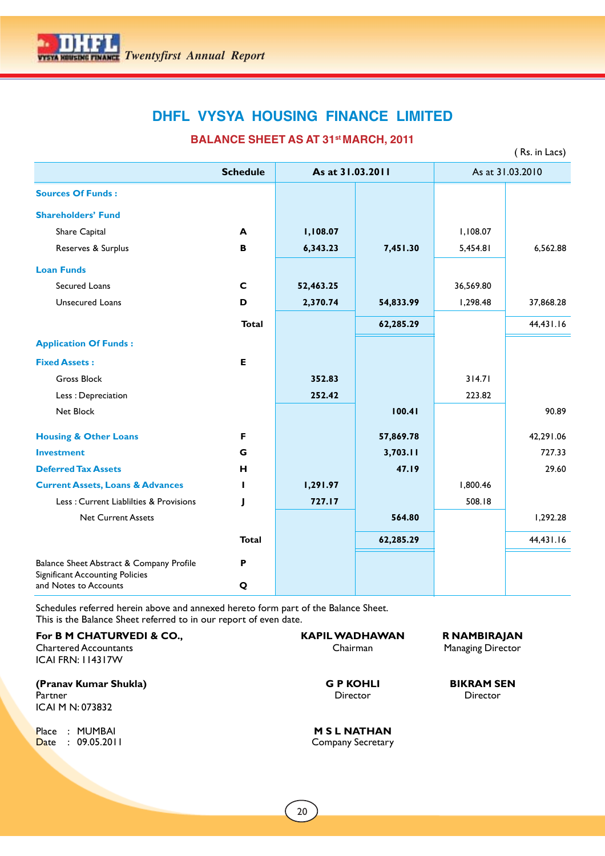

**BALANCE SHEET AS AT 31st MARCH, 2011** 

( Rs. in Lacs)

|                                                                 | <b>Schedule</b> | As at 31.03.2011 |           |           | As at 31.03.2010 |
|-----------------------------------------------------------------|-----------------|------------------|-----------|-----------|------------------|
| <b>Sources Of Funds:</b>                                        |                 |                  |           |           |                  |
| <b>Shareholders' Fund</b>                                       |                 |                  |           |           |                  |
| Share Capital                                                   | A               | 1,108.07         |           | 1,108.07  |                  |
| Reserves & Surplus                                              | B               | 6,343.23         | 7,451.30  | 5,454.81  | 6,562.88         |
| <b>Loan Funds</b>                                               |                 |                  |           |           |                  |
| Secured Loans                                                   | $\mathbf C$     | 52,463.25        |           | 36,569.80 |                  |
| <b>Unsecured Loans</b>                                          | D               | 2,370.74         | 54,833.99 | 1,298.48  | 37,868.28        |
|                                                                 | <b>Total</b>    |                  | 62,285.29 |           | 44,431.16        |
| <b>Application Of Funds:</b>                                    |                 |                  |           |           |                  |
| <b>Fixed Assets:</b>                                            | Е               |                  |           |           |                  |
| <b>Gross Block</b>                                              |                 | 352.83           |           | 314.71    |                  |
| Less: Depreciation                                              |                 | 252.42           |           | 223.82    |                  |
| Net Block                                                       |                 |                  | 100.41    |           | 90.89            |
| <b>Housing &amp; Other Loans</b>                                | F               |                  | 57,869.78 |           | 42,291.06        |
| <b>Investment</b>                                               | G               |                  | 3,703.11  |           | 727.33           |
| <b>Deferred Tax Assets</b>                                      | н               |                  | 47.19     |           | 29.60            |
| <b>Current Assets, Loans &amp; Advances</b>                     |                 | 1,291.97         |           | 1,800.46  |                  |
| Less: Current Liablilties & Provisions                          |                 | 727.17           |           | 508.18    |                  |
| <b>Net Current Assets</b>                                       |                 |                  | 564.80    |           | 1,292.28         |
|                                                                 | <b>Total</b>    |                  | 62,285.29 |           | 44,431.16        |
| Balance Sheet Abstract & Company Profile                        | P               |                  |           |           |                  |
| <b>Significant Accounting Policies</b><br>and Notes to Accounts | Q               |                  |           |           |                  |

Schedules referred herein above and annexed hereto form part of the Balance Sheet. This is the Balance Sheet referred to in our report of even date.

For B M CHATURVEDI & CO., **KAPIL WADHAWAN** R NAMBIRAJAN Chartered Accountants **Chairman** Chairman Managing Director ICAI FRN: 114317W **(Pranav Kumar Shukla) G P KOHLI BIKRAM SEN** Partner Director Director Director Director Director Director Director Director Director ICAI M N: 073832 Place : MUMBAI **M S L NATHAN**<br> **D**ate : 09.05.2011 Company Secretary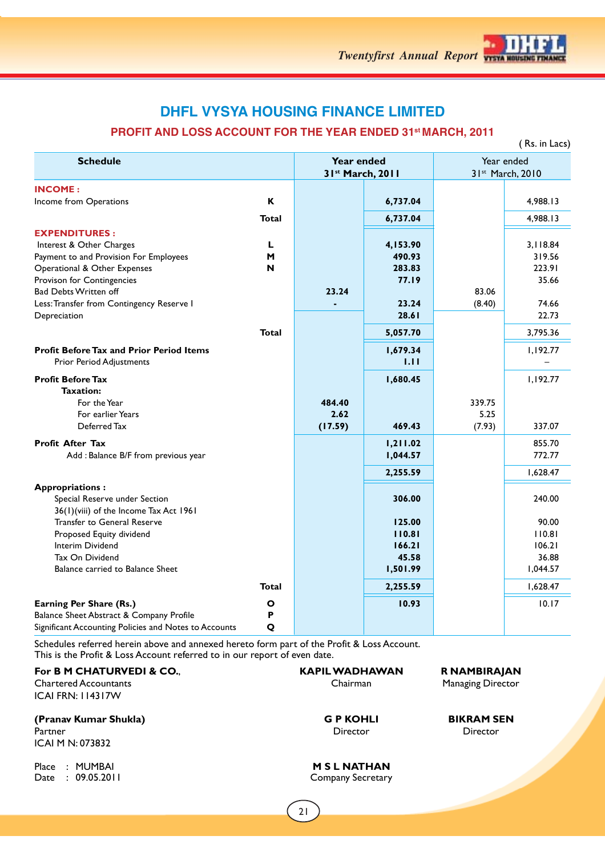

## **PROFIT AND LOSS ACCOUNT FOR THE YEAR ENDED 31st MARCH, 2011**

|                                                         |              |                                |          |        | (Rs. in Lacs)                  |
|---------------------------------------------------------|--------------|--------------------------------|----------|--------|--------------------------------|
| <b>Schedule</b>                                         |              | Year ended<br>31st March, 2011 |          |        | Year ended<br>31st March, 2010 |
| <b>INCOME:</b>                                          |              |                                |          |        |                                |
| Income from Operations                                  | K            |                                | 6,737.04 |        | 4,988.13                       |
|                                                         | <b>Total</b> |                                | 6,737.04 |        | 4,988.13                       |
| <b>EXPENDITURES:</b>                                    |              |                                |          |        |                                |
| Interest & Other Charges                                | L            |                                | 4,153.90 |        | 3,118.84                       |
| Payment to and Provision For Employees                  | M            |                                | 490.93   |        | 319.56                         |
| Operational & Other Expenses                            | N            |                                | 283.83   |        | 223.91                         |
| Provison for Contingencies                              |              |                                | 77.19    |        | 35.66                          |
| Bad Debts Written off                                   |              | 23.24                          |          | 83.06  |                                |
| Less: Transfer from Contingency Reserve I               |              |                                | 23.24    | (8.40) | 74.66                          |
| Depreciation                                            |              |                                | 28.61    |        | 22.73                          |
|                                                         | Total        |                                | 5,057.70 |        | 3,795.36                       |
| <b>Profit Before Tax and Prior Period Items</b>         |              |                                | 1,679.34 |        | 1,192.77                       |
| <b>Prior Period Adjustments</b>                         |              |                                | 1.11     |        |                                |
| <b>Profit Before Tax</b>                                |              |                                | 1,680.45 |        | 1,192.77                       |
| <b>Taxation:</b>                                        |              |                                |          |        |                                |
| For the Year                                            |              | 484.40                         |          | 339.75 |                                |
| For earlier Years                                       |              | 2.62                           |          | 5.25   |                                |
| Deferred Tax                                            |              | (17.59)                        | 469.43   | (7.93) | 337.07                         |
| <b>Profit After Tax</b>                                 |              |                                | 1,211.02 |        | 855.70                         |
| Add : Balance B/F from previous year                    |              |                                | 1,044.57 |        | 772.77                         |
|                                                         |              |                                | 2,255.59 |        | 1,628.47                       |
| <b>Appropriations:</b><br>Special Reserve under Section |              |                                | 306.00   |        | 240.00                         |
| 36(1)(viii) of the Income Tax Act 1961                  |              |                                |          |        |                                |
| <b>Transfer to General Reserve</b>                      |              |                                | 125.00   |        | 90.00                          |
| Proposed Equity dividend                                |              |                                | 110.81   |        | 110.81                         |
| Interim Dividend                                        |              |                                | 166.21   |        | 106.21                         |
| Tax On Dividend                                         |              |                                | 45.58    |        | 36.88                          |
| Balance carried to Balance Sheet                        |              |                                | 1,501.99 |        | 1,044.57                       |
|                                                         | <b>Total</b> |                                | 2,255.59 |        | 1,628.47                       |
| Earning Per Share (Rs.)                                 | Ο            |                                | 10.93    |        | 10.17                          |
| Balance Sheet Abstract & Company Profile                | P            |                                |          |        |                                |
| Significant Accounting Policies and Notes to Accounts   | Q            |                                |          |        |                                |

Schedules referred herein above and annexed hereto form part of the Profit & Loss Account. This is the Profit & Loss Account referred to in our report of even date.

Chartered Accountants **Chairman** Chairman Managing Director ICAI FRN: 114317W

**(Pranav Kumar Shukla) G P KOHLI BIKRAM SEN** Partner Director Director Director Director Director Director Director Director Director

ICAI M N: 073832

Date : 09.05.2011 Company Secretary

**For B M CHATURVEDI & CO., <br>Chartered Accountants <b>Co.**, **KAPIL WADHAWAN R NAMBIRAJAN**<br>Chairman Chairman Managing Director

Place : MUMBAI **M S L NATHAN**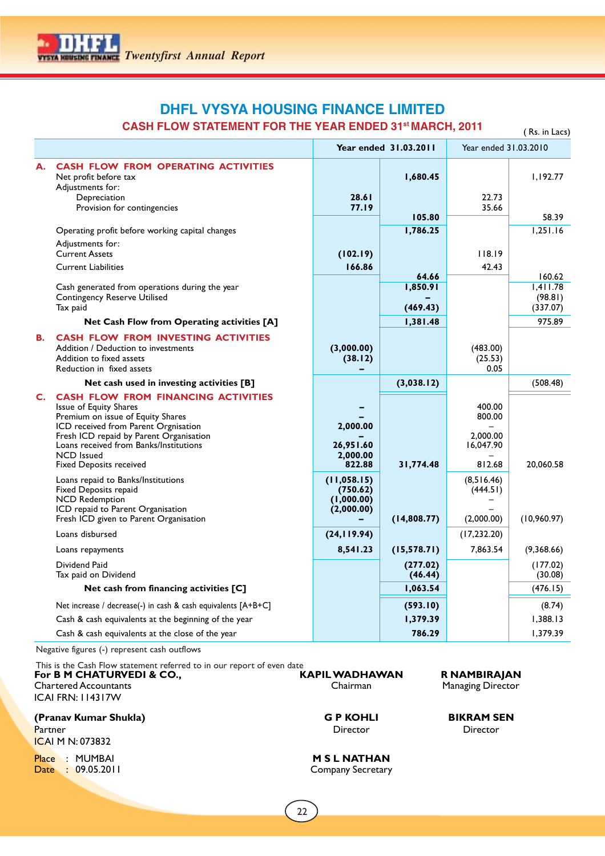## **DHFL VYSYA HOUSING FINANCE LIMITED CASH FLOW STATEMENT FOR THE YEAR ENDED 31st MARCH, 2011**

|    | <u>URBENER LULLE LEARENDED UL MARULI, </u>                                                                                                                                                                                                                                             |                                                      |                       |                                                     | ( Rs. in Lacs)      |
|----|----------------------------------------------------------------------------------------------------------------------------------------------------------------------------------------------------------------------------------------------------------------------------------------|------------------------------------------------------|-----------------------|-----------------------------------------------------|---------------------|
|    |                                                                                                                                                                                                                                                                                        |                                                      | Year ended 31.03.2011 | Year ended 31.03.2010                               |                     |
| А. | <b>CASH FLOW FROM OPERATING ACTIVITIES</b><br>Net profit before tax<br>Adjustments for:<br>Depreciation                                                                                                                                                                                | 28.61                                                | 1,680.45              | 22.73                                               | 1,192.77            |
|    | Provision for contingencies                                                                                                                                                                                                                                                            | 77.19                                                | 105.80                | 35.66                                               | 58.39               |
|    | Operating profit before working capital changes                                                                                                                                                                                                                                        |                                                      | 1,786.25              |                                                     | 1,251.16            |
|    | Adjustments for:                                                                                                                                                                                                                                                                       |                                                      |                       |                                                     |                     |
|    | <b>Current Assets</b>                                                                                                                                                                                                                                                                  | (102.19)                                             |                       | 118.19                                              |                     |
|    | <b>Current Liabilities</b>                                                                                                                                                                                                                                                             | 166.86                                               |                       | 42.43                                               |                     |
|    |                                                                                                                                                                                                                                                                                        |                                                      | 64.66                 |                                                     | 160.62              |
|    | Cash generated from operations during the year<br><b>Contingency Reserve Utilised</b>                                                                                                                                                                                                  |                                                      | 1,850.91              |                                                     | 1,411.78<br>(98.81) |
|    | Tax paid                                                                                                                                                                                                                                                                               |                                                      | (469.43)              |                                                     | (337.07)            |
|    | Net Cash Flow from Operating activities [A]                                                                                                                                                                                                                                            |                                                      | 1,381.48              |                                                     | 975.89              |
| В. | <b>CASH FLOW FROM INVESTING ACTIVITIES</b><br>Addition / Deduction to investments<br>Addition to fixed assets<br>Reduction in fixed assets                                                                                                                                             | (3,000.00)<br>(38.12)                                |                       | (483.00)<br>(25.53)<br>0.05                         |                     |
|    | Net cash used in investing activities [B]                                                                                                                                                                                                                                              |                                                      | (3,038.12)            |                                                     | (508.48)            |
| C. | CASH FLOW FROM FINANCING ACTIVITIES<br>Issue of Equity Shares<br>Premium on issue of Equity Shares<br>ICD received from Parent Orgnisation<br>Fresh ICD repaid by Parent Organisation<br>Loans received from Banks/Institutions<br><b>NCD</b> Issued<br><b>Fixed Deposits received</b> | 2,000.00<br>26,951.60<br>2,000.00<br>822.88          | 31,774.48             | 400.00<br>800.00<br>2,000.00<br>16,047.90<br>812.68 | 20,060.58           |
|    | Loans repaid to Banks/Institutions<br>Fixed Deposits repaid<br><b>NCD Redemption</b><br>ICD repaid to Parent Organisation<br>Fresh ICD given to Parent Organisation                                                                                                                    | (11, 058.15)<br>(750.62)<br>(1,000.00)<br>(2,000.00) | (14,808.77)           | (8,516.46)<br>(444.51)<br>(2,000.00)                | (10,960.97)         |
|    | Loans disbursed                                                                                                                                                                                                                                                                        | (24, 119.94)                                         |                       | (17, 232.20)                                        |                     |
|    | Loans repayments                                                                                                                                                                                                                                                                       | 8,541.23                                             | (15, 578.71)          | 7,863.54                                            | (9,368.66)          |
|    | Dividend Paid<br>Tax paid on Dividend                                                                                                                                                                                                                                                  |                                                      | (277.02)<br>(46.44)   |                                                     | (177.02)<br>(30.08) |
|    | Net cash from financing activities [C]                                                                                                                                                                                                                                                 |                                                      | 1,063.54              |                                                     | (476.15)            |
|    | Net increase / decrease(-) in cash & cash equivalents [A+B+C]                                                                                                                                                                                                                          |                                                      | (593.10)              |                                                     | (8.74)              |
|    | Cash & cash equivalents at the beginning of the year                                                                                                                                                                                                                                   |                                                      | 1,379.39              |                                                     | 1,388.13            |
|    | Cash & cash equivalents at the close of the year                                                                                                                                                                                                                                       |                                                      | 786.29                |                                                     | 1,379.39            |

Negative figures (-) represent cash outflows

This is the Cash Flow statement referred to in our report of even date **For B M CHATURVEDI & CO., KAPIL WADHAWAN R NAMBIRAJAN Chartered Accountants** Chairman Managing Director ICAI FRN: 114317W

## **(Pranav Kumar Shukla) G P KOHLI BIKRAM SEN** Partner Director Director Director Director Director Director Director Director Director

ICAI M N: 073832

Place : MUMBAI **M S L NATHAN** Date : 09.05.2011 Company Secretary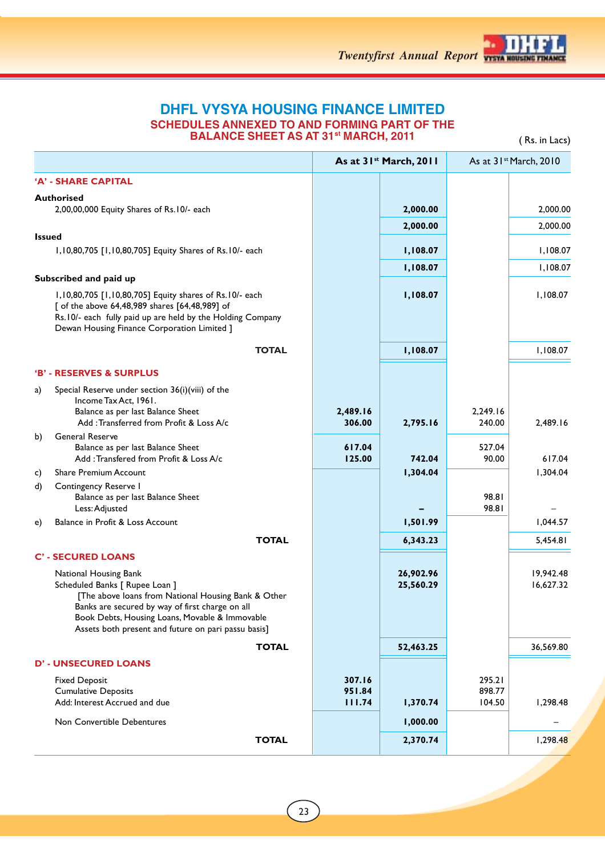

## **DHFL VYSYA HOUSING FINANCE LIMITED SCHEDULES ANNEXED TO AND FORMING PART OF THE BALANCE SHEET AS AT 31<sup>st</sup> MARCH, 2011** ( Rs. in Lacs)

|                                                                                                                                                                                                                                                                            |                            | As at 31 <sup>st</sup> March, 2011 |                            | As at 31 <sup>st</sup> March, 2010 |
|----------------------------------------------------------------------------------------------------------------------------------------------------------------------------------------------------------------------------------------------------------------------------|----------------------------|------------------------------------|----------------------------|------------------------------------|
| 'A' - SHARE CAPITAL                                                                                                                                                                                                                                                        |                            |                                    |                            |                                    |
| <b>Authorised</b>                                                                                                                                                                                                                                                          |                            |                                    |                            |                                    |
| 2,00,00,000 Equity Shares of Rs.10/- each                                                                                                                                                                                                                                  |                            | 2,000.00                           |                            | 2,000.00                           |
| <b>Issued</b>                                                                                                                                                                                                                                                              |                            | 2,000.00                           |                            | 2,000.00                           |
| 1,10,80,705 [1,10,80,705] Equity Shares of Rs.10/- each                                                                                                                                                                                                                    |                            | 1,108.07                           |                            | 1,108.07                           |
|                                                                                                                                                                                                                                                                            |                            | 1,108.07                           |                            | 1,108.07                           |
| Subscribed and paid up                                                                                                                                                                                                                                                     |                            |                                    |                            |                                    |
| 1,10,80,705 [1,10,80,705] Equity shares of Rs.10/- each<br>[ of the above 64,48,989 shares [64,48,989] of<br>Rs.10/- each fully paid up are held by the Holding Company<br>Dewan Housing Finance Corporation Limited ]                                                     |                            | 1,108.07                           |                            | 1,108.07                           |
| <b>TOTAL</b>                                                                                                                                                                                                                                                               |                            | 1,108.07                           |                            | 1,108.07                           |
| 'B' - RESERVES & SURPLUS                                                                                                                                                                                                                                                   |                            |                                    |                            |                                    |
| Special Reserve under section 36(i)(viii) of the<br>a)                                                                                                                                                                                                                     |                            |                                    |                            |                                    |
| Income Tax Act, 1961.<br>Balance as per last Balance Sheet<br>Add: Transferred from Profit & Loss A/c                                                                                                                                                                      | 2,489.16<br>306.00         | 2,795.16                           | 2,249.16<br>240.00         | 2,489.16                           |
| General Reserve<br>b)<br>Balance as per last Balance Sheet<br>Add: Transfered from Profit & Loss A/c                                                                                                                                                                       | 617.04<br>125.00           | 742.04                             | 527.04<br>90.00            | 617.04                             |
| <b>Share Premium Account</b><br>C)                                                                                                                                                                                                                                         |                            | 1,304.04                           |                            | 1,304.04                           |
| Contingency Reserve I<br>d)<br>Balance as per last Balance Sheet<br>Less: Adjusted                                                                                                                                                                                         |                            |                                    | 98.81<br>98.81             |                                    |
| Balance in Profit & Loss Account<br>e)                                                                                                                                                                                                                                     |                            | 1,501.99                           |                            | 1,044.57                           |
| <b>TOTAL</b>                                                                                                                                                                                                                                                               |                            | 6,343.23                           |                            | 5,454.81                           |
| <b>C' - SECURED LOANS</b>                                                                                                                                                                                                                                                  |                            |                                    |                            |                                    |
| National Housing Bank<br>Scheduled Banks [ Rupee Loan ]<br>[The above loans from National Housing Bank & Other<br>Banks are secured by way of first charge on all<br>Book Debts, Housing Loans, Movable & Immovable<br>Assets both present and future on pari passu basis] |                            | 26,902.96<br>25,560.29             |                            | 19,942.48<br>16,627.32             |
| <b>TOTAL</b>                                                                                                                                                                                                                                                               |                            | 52,463.25                          |                            | 36,569.80                          |
| <b>D' - UNSECURED LOANS</b>                                                                                                                                                                                                                                                |                            |                                    |                            |                                    |
| <b>Fixed Deposit</b><br><b>Cumulative Deposits</b><br>Add: Interest Accrued and due                                                                                                                                                                                        | 307.16<br>951.84<br>111.74 | 1,370.74                           | 295.21<br>898.77<br>104.50 | 1,298.48                           |
| Non Convertible Debentures                                                                                                                                                                                                                                                 |                            | 1,000.00                           |                            |                                    |
| <b>TOTAL</b>                                                                                                                                                                                                                                                               |                            | 2,370.74                           |                            | 1,298.48                           |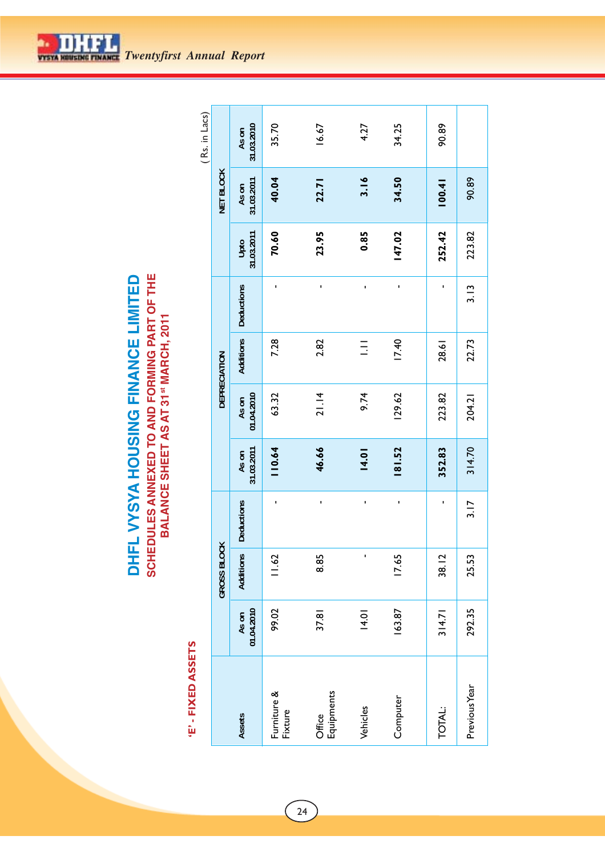**SCHEDULES ANNEXED TO AND FORMING PART OF THE<br>BALANCE SHEET AS AT 31<sup>st</sup> MARCH, 2011** DHFL VYSYA HOUSING FINANCE LIMITED **SCHEDULES ANNEXED TO AND FORMING PART OF THE DHFL VYSYA HOUSING FINANCE LIMITED BALANCE SHEET AS AT 31st MARCH, 2011**

# 'E' - FIXED ASSETS  **'E' - FIXED ASSETS**

|                     |                                 |                   |                     |                     |              |                   |                    |                     | (Rs. in Lacs)       |
|---------------------|---------------------------------|-------------------|---------------------|---------------------|--------------|-------------------|--------------------|---------------------|---------------------|
|                     | GROSS BLOCK                     |                   |                     |                     | DEPRECIATION |                   |                    | <b>NET BLOCK</b>    |                     |
| 01.04.2010<br>As on | Additions                       | <b>Deductions</b> | 31.03.2011<br>As on | 01.04.2010<br>As on | Additions    | <b>Deductions</b> | 31.03.2011<br>Upto | 31.03.2011<br>As on | 31.03.2010<br>As on |
| 99.02               | 1.62                            | ı                 | 110.64              | 63.32               | 7.28         | ı                 | 70.60              | 40.04               | 35.70               |
| 37.81               | 8.85                            | ı                 | 46.66               | 21.14               | 2.82         | ı                 | 23.95              | 22.71               | 16.67               |
| 14.01               | ı                               | ı                 | 14.01               | 9.74                | Ξ            | ı                 | 0.85               | 3.16                | 4.27                |
| 163.87              | 17.65                           | ı                 | 181.52              | 129.62              | 17.40        | ı                 | 147.02             | 34.50               | 34.25               |
| 314.71              | $\overline{\mathbf{C}}$<br>38.1 | ,                 | 352.83              | 223.82              | 28.61        | ı                 | 252.42             | 100.41              | 90.89               |
| 292.35              | 25.53                           | 3.17              | 314.70              | 204.21              | 22.73        | 3.13              | 223.82             | 90.89               |                     |
|                     |                                 |                   |                     |                     |              |                   |                    |                     |                     |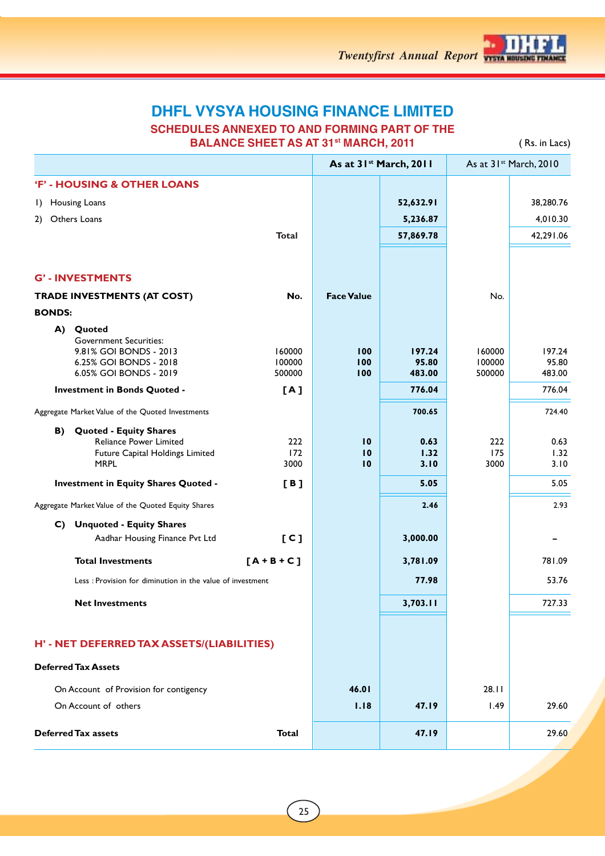

**SCHEDULES ANNEXED TO AND FORMING PART OF THE BALANCE SHEET AS AT 31<sup>st</sup> MARCH, 2011** ( Rs. in Lacs)

|               |                                                                                                                          |                            |                             | As at 31 <sup>st</sup> March, 2011 |                            | As at 31 <sup>st</sup> March, 2010 |
|---------------|--------------------------------------------------------------------------------------------------------------------------|----------------------------|-----------------------------|------------------------------------|----------------------------|------------------------------------|
|               | 'F' - HOUSING & OTHER LOANS                                                                                              |                            |                             |                                    |                            |                                    |
| $\Box$        | Housing Loans                                                                                                            |                            |                             | 52,632.91                          |                            | 38,280.76                          |
| 2)            | Others Loans                                                                                                             |                            |                             | 5,236.87                           |                            | 4,010.30                           |
|               |                                                                                                                          | <b>Total</b>               |                             | 57,869.78                          |                            | 42,291.06                          |
|               |                                                                                                                          |                            |                             |                                    |                            |                                    |
|               | <b>G'-INVESTMENTS</b>                                                                                                    |                            |                             |                                    |                            |                                    |
|               | TRADE INVESTMENTS (AT COST)                                                                                              | No.                        | <b>Face Value</b>           |                                    | No.                        |                                    |
| <b>BONDS:</b> |                                                                                                                          |                            |                             |                                    |                            |                                    |
|               | A) Quoted<br><b>Government Securities:</b><br>9.81% GOI BONDS - 2013<br>6.25% GOI BONDS - 2018<br>6.05% GOI BONDS - 2019 | 160000<br>100000<br>500000 | 100<br>100<br>100           | 197.24<br>95.80<br>483.00          | 160000<br>100000<br>500000 | 197.24<br>95.80<br>483.00          |
|               | Investment in Bonds Quoted -                                                                                             | [A]                        |                             | 776.04                             |                            | 776.04                             |
|               | Aggregate Market Value of the Quoted Investments                                                                         |                            |                             | 700.65                             |                            | 724.40                             |
| B)            | <b>Quoted - Equity Shares</b><br><b>Reliance Power Limited</b><br>Future Capital Holdings Limited<br><b>MRPL</b>         | 222<br>172<br>3000         | 10<br>$\overline{10}$<br>10 | 0.63<br>1.32<br>3.10               | 222<br>175<br>3000         | 0.63<br>1.32<br>3.10               |
|               | <b>Investment in Equity Shares Quoted -</b>                                                                              | [B]                        |                             | 5.05                               |                            | 5.05                               |
|               | Aggregate Market Value of the Quoted Equity Shares                                                                       |                            |                             | 2.46                               |                            | 2.93                               |
|               | C) Unquoted - Equity Shares                                                                                              |                            |                             |                                    |                            |                                    |
|               | Aadhar Housing Finance Pvt Ltd                                                                                           | [C]                        |                             | 3,000.00                           |                            |                                    |
|               | <b>Total Investments</b>                                                                                                 | $[A + B + C]$              |                             | 3,781.09                           |                            | 781.09                             |
|               | Less: Provision for diminution in the value of investment                                                                |                            |                             | 77.98                              |                            | 53.76                              |
|               | <b>Net Investments</b>                                                                                                   |                            |                             | 3,703.11                           |                            | 727.33                             |
|               |                                                                                                                          |                            |                             |                                    |                            |                                    |
|               | H' - NET DEFERRED TAX ASSETS/(LIABILITIES)                                                                               |                            |                             |                                    |                            |                                    |
|               | <b>Deferred Tax Assets</b>                                                                                               |                            |                             |                                    |                            |                                    |
|               | On Account of Provision for contigency                                                                                   |                            | 46.01                       |                                    | 28.11                      |                                    |
|               | On Account of others                                                                                                     |                            | 1.18                        | 47.19                              | 1.49                       | 29.60                              |
|               | <b>Deferred Tax assets</b>                                                                                               | <b>Total</b>               |                             | 47.19                              |                            | 29.60                              |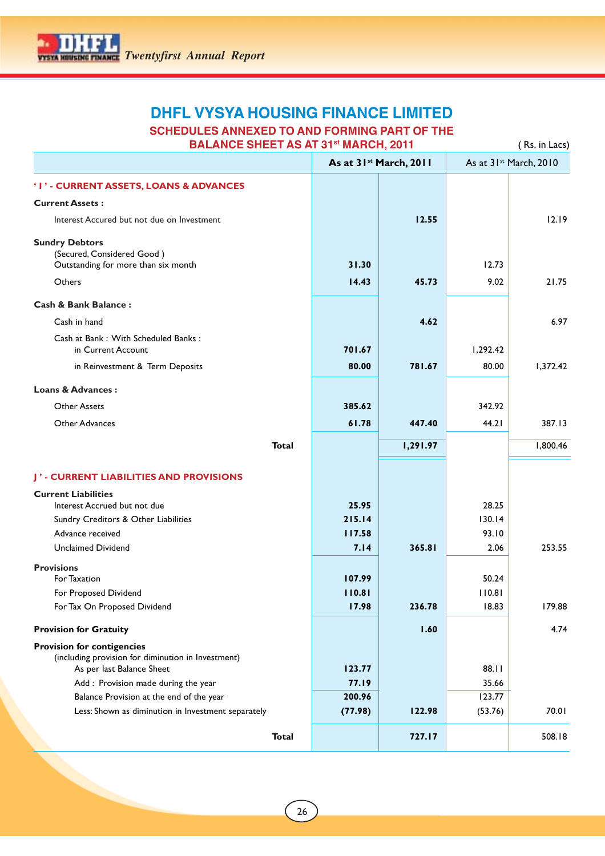## **DHFL VYSYA HOUSING FINANCE LIMITED SCHEDULES ANNEXED TO AND FORMING PART OF THE**

| <b>BALANCE SHEET AS AT 31st MARCH, 2011</b>                                                                          |         |                                    |          | (Rs. in Lacs)                      |
|----------------------------------------------------------------------------------------------------------------------|---------|------------------------------------|----------|------------------------------------|
|                                                                                                                      |         | As at 31 <sup>st</sup> March, 2011 |          | As at 31 <sup>st</sup> March, 2010 |
| 'I' - CURRENT ASSETS, LOANS & ADVANCES                                                                               |         |                                    |          |                                    |
| <b>Current Assets:</b>                                                                                               |         |                                    |          |                                    |
| Interest Accured but not due on Investment                                                                           |         | 12.55                              |          | 12.19                              |
| <b>Sundry Debtors</b><br>(Secured, Considered Good)<br>Outstanding for more than six month                           | 31.30   |                                    | 12.73    |                                    |
| Others                                                                                                               | 14.43   | 45.73                              | 9.02     | 21.75                              |
| <b>Cash &amp; Bank Balance:</b>                                                                                      |         |                                    |          |                                    |
| Cash in hand                                                                                                         |         | 4.62                               |          | 6.97                               |
| Cash at Bank: With Scheduled Banks:<br>in Current Account                                                            | 701.67  |                                    | 1,292.42 |                                    |
| in Reinvestment & Term Deposits                                                                                      | 80.00   | 781.67                             | 80.00    | 1,372.42                           |
| <b>Loans &amp; Advances:</b>                                                                                         |         |                                    |          |                                    |
| <b>Other Assets</b>                                                                                                  | 385.62  |                                    | 342.92   |                                    |
| Other Advances                                                                                                       | 61.78   | 447.40                             | 44.21    | 387.13                             |
| <b>Total</b>                                                                                                         |         | 1,291.97                           |          | 1,800.46                           |
|                                                                                                                      |         |                                    |          |                                    |
| J' - CURRENT LIABILITIES AND PROVISIONS                                                                              |         |                                    |          |                                    |
| <b>Current Liabilities</b><br>Interest Accrued but not due                                                           | 25.95   |                                    | 28.25    |                                    |
| Sundry Creditors & Other Liabilities                                                                                 | 215.14  |                                    | 130.14   |                                    |
| Advance received                                                                                                     | 117.58  |                                    | 93.10    |                                    |
| <b>Unclaimed Dividend</b>                                                                                            | 7.14    | 365.81                             | 2.06     | 253.55                             |
| <b>Provisions</b>                                                                                                    |         |                                    |          |                                    |
| For Taxation                                                                                                         | 107.99  |                                    | 50.24    |                                    |
| For Proposed Dividend                                                                                                | 110.81  |                                    | 110.81   |                                    |
| For Tax On Proposed Dividend                                                                                         | 17.98   | 236.78                             | 18.83    | 179.88                             |
| <b>Provision for Gratuity</b>                                                                                        |         | 1.60                               |          | 4.74                               |
| <b>Provision for contigencies</b><br>(including provision for diminution in Investment)<br>As per last Balance Sheet | 123.77  |                                    | 88.11    |                                    |
| Add : Provision made during the year                                                                                 | 77.19   |                                    | 35.66    |                                    |
| Balance Provision at the end of the year                                                                             | 200.96  |                                    | 123.77   |                                    |
| Less: Shown as diminution in Investment separately                                                                   | (77.98) | 122.98                             | (53.76)  | 70.01                              |
| <b>Total</b>                                                                                                         |         | 727.17                             |          | 508.18                             |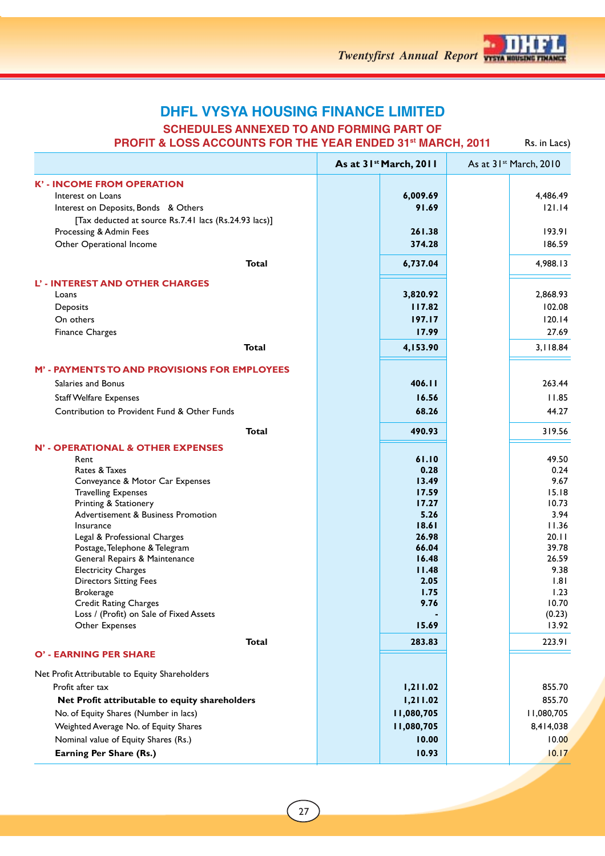

**SCHEDULES ANNEXED TO AND FORMING PART OF**

**PROFIT & LOSS ACCOUNTS FOR THE YEAR ENDED 31st MARCH, 2011**

Rs. in Lacs)

| 6,009.69<br>91.69<br>261.38<br>374.28<br>6,737.04<br>3,820.92<br>117.82<br>197.17<br>17.99<br>4,153.90<br>406.11<br>16.56<br>68.26 |                                                                         |
|------------------------------------------------------------------------------------------------------------------------------------|-------------------------------------------------------------------------|
|                                                                                                                                    | 4,486.49<br>121.14<br>193.91<br>186.59                                  |
|                                                                                                                                    |                                                                         |
|                                                                                                                                    |                                                                         |
|                                                                                                                                    |                                                                         |
|                                                                                                                                    | 4,988.13<br>2,868.93<br>102.08<br>120.14<br>27.69<br>3,118.84<br>263.44 |
|                                                                                                                                    |                                                                         |
|                                                                                                                                    |                                                                         |
|                                                                                                                                    |                                                                         |
|                                                                                                                                    |                                                                         |
|                                                                                                                                    |                                                                         |
|                                                                                                                                    |                                                                         |
|                                                                                                                                    |                                                                         |
|                                                                                                                                    |                                                                         |
|                                                                                                                                    |                                                                         |
|                                                                                                                                    |                                                                         |
|                                                                                                                                    | 11.85                                                                   |
|                                                                                                                                    | 44.27                                                                   |
| 490.93                                                                                                                             | 319.56                                                                  |
|                                                                                                                                    |                                                                         |
| 61.10                                                                                                                              | 49.50                                                                   |
| 0.28                                                                                                                               | 0.24                                                                    |
| 13.49<br>17.59                                                                                                                     | 9.67<br>15.18                                                           |
| 17.27                                                                                                                              | 10.73                                                                   |
| 5.26                                                                                                                               | 3.94                                                                    |
| 18.61                                                                                                                              | 11.36                                                                   |
| 26.98                                                                                                                              | 20.11                                                                   |
| 66.04                                                                                                                              | 39.78                                                                   |
| 16.48<br>11.48                                                                                                                     | 26.59<br>9.38                                                           |
| 2.05                                                                                                                               | 1.81                                                                    |
| 1.75                                                                                                                               | 1.23                                                                    |
| 9.76                                                                                                                               | 10.70                                                                   |
|                                                                                                                                    | (0.23)                                                                  |
| 15.69                                                                                                                              | 13.92                                                                   |
| 283.83                                                                                                                             | 223.91                                                                  |
|                                                                                                                                    |                                                                         |
|                                                                                                                                    | 855.70                                                                  |
|                                                                                                                                    | 855.70                                                                  |
|                                                                                                                                    | 11,080,705                                                              |
|                                                                                                                                    | 8,414,038                                                               |
|                                                                                                                                    | 10.00                                                                   |
|                                                                                                                                    | 10.17                                                                   |
| 10.00<br>10.93                                                                                                                     |                                                                         |
|                                                                                                                                    | 1,211.02<br>1,211.02<br>11,080,705<br>11,080,705                        |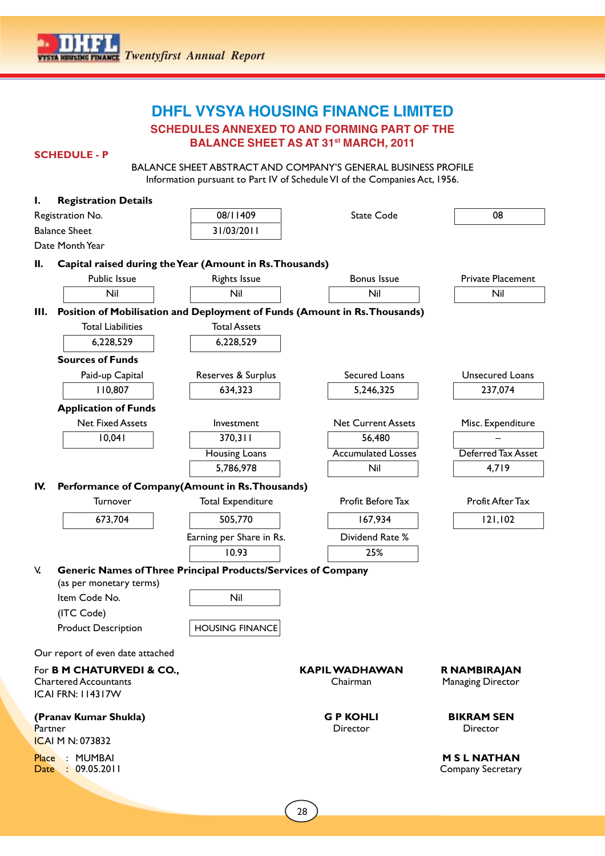

**SCHEDULES ANNEXED TO AND FORMING PART OF THE**

**BALANCE SHEET AS AT 31st MARCH, 2011**

## **SCHEDULE - P**

BALANCE SHEET ABSTRACT AND COMPANY'S GENERAL BUSINESS PROFILE Information pursuant to Part IV of Schedule VI of the Companies Act, 1956.

| ı.      | <b>Registration Details</b>                                          |                          |                                                                            |                               |
|---------|----------------------------------------------------------------------|--------------------------|----------------------------------------------------------------------------|-------------------------------|
|         | Registration No.                                                     | 08/11409                 | <b>State Code</b>                                                          | 08                            |
|         | <b>Balance Sheet</b>                                                 | 31/03/2011               |                                                                            |                               |
|         | Date Month Year                                                      |                          |                                                                            |                               |
| II.     | Capital raised during the Year (Amount in Rs. Thousands)             |                          |                                                                            |                               |
|         | Public Issue                                                         | <b>Rights Issue</b>      | Bonus Issue                                                                | <b>Private Placement</b>      |
|         | Nil                                                                  | Nil                      | Nil                                                                        | Nil                           |
| Ш.      |                                                                      |                          | Position of Mobilisation and Deployment of Funds (Amount in Rs. Thousands) |                               |
|         | <b>Total Liabilities</b>                                             | <b>Total Assets</b>      |                                                                            |                               |
|         | 6,228,529                                                            | 6,228,529                |                                                                            |                               |
|         | <b>Sources of Funds</b>                                              |                          |                                                                            |                               |
|         | Paid-up Capital                                                      | Reserves & Surplus       | Secured Loans                                                              | Unsecured Loans               |
|         | 110,807                                                              | 634,323                  | 5,246,325                                                                  | 237,074                       |
|         | <b>Application of Funds</b>                                          |                          |                                                                            |                               |
|         | <b>Net Fixed Assets</b>                                              | Investment               | <b>Net Current Assets</b>                                                  | Misc. Expenditure             |
|         | 10,041                                                               | 370,311                  | 56,480                                                                     |                               |
|         |                                                                      | Housing Loans            | <b>Accumulated Losses</b>                                                  | Deferred Tax Asset            |
|         |                                                                      | 5,786,978                | Nil                                                                        | 4,719                         |
| IV.     | Performance of Company(Amount in Rs. Thousands)                      |                          |                                                                            |                               |
|         | Turnover                                                             | <b>Total Expenditure</b> | Profit Before Tax                                                          | Profit After Tax              |
|         | 673,704                                                              | 505,770                  | 167,934                                                                    | 121,102                       |
|         |                                                                      | Earning per Share in Rs. | Dividend Rate %                                                            |                               |
|         |                                                                      | 10.93                    | 25%                                                                        |                               |
| V.      | <b>Generic Names of Three Principal Products/Services of Company</b> |                          |                                                                            |                               |
|         | (as per monetary terms)                                              |                          |                                                                            |                               |
|         | Item Code No.                                                        | Nil                      |                                                                            |                               |
|         | (ITC Code)                                                           |                          |                                                                            |                               |
|         | <b>Product Description</b>                                           | <b>HOUSING FINANCE</b>   |                                                                            |                               |
|         | Our report of even date attached                                     |                          |                                                                            |                               |
|         | For <b>B M CHATURVEDI &amp; CO.,</b>                                 |                          | <b>KAPIL WADHAWAN</b>                                                      | R NAMBIRAJAN                  |
|         | <b>Chartered Accountants</b><br><b>ICAI FRN: 114317W</b>             |                          | Chairman                                                                   | Managing Director             |
|         |                                                                      |                          |                                                                            |                               |
| Partner | (Pranav Kumar Shukla)                                                |                          | <b>GP KOHLI</b><br><b>Director</b>                                         | <b>BIKRAM SEN</b><br>Director |
|         | <b>ICAI M N: 073832</b>                                              |                          |                                                                            |                               |
|         | Place : MUMBAI                                                       |                          |                                                                            | <b>MSLNATHAN</b>              |
|         | Date : 09.05.2011                                                    |                          |                                                                            | Company Secretary             |
|         |                                                                      |                          |                                                                            |                               |
|         |                                                                      |                          |                                                                            |                               |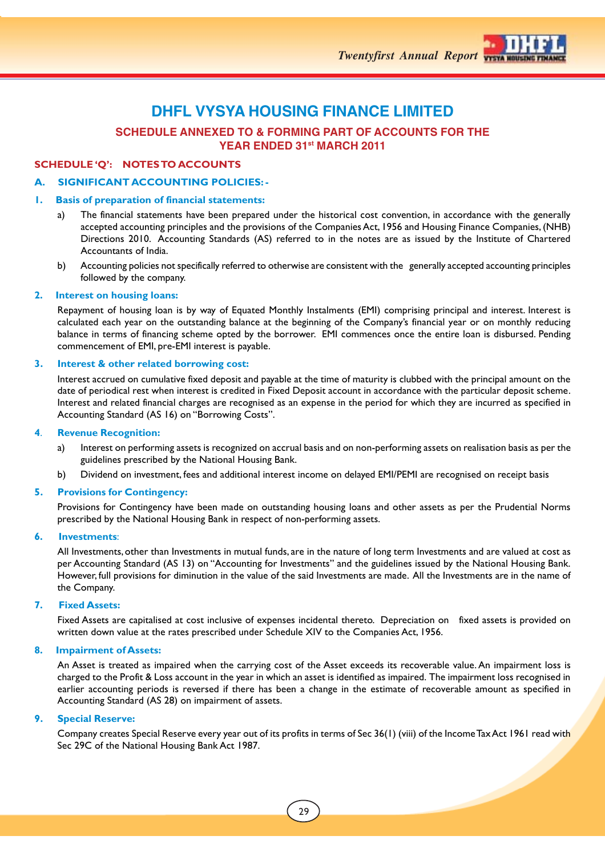## **SCHEDULE ANNEXED TO & FORMING PART OF ACCOUNTS FOR THE YEAR ENDED 31st MARCH 2011**

## **SCHEDULE 'Q': NOTES TO ACCOUNTS**

## **A. SIGNIFICANT ACCOUNTING POLICIES: -**

## **1. Basis of preparation of financial statements:**

- a) The financial statements have been prepared under the historical cost convention, in accordance with the generally accepted accounting principles and the provisions of the Companies Act, 1956 and Housing Finance Companies, (NHB) Directions 2010. Accounting Standards (AS) referred to in the notes are as issued by the Institute of Chartered Accountants of India.
- b) Accounting policies not specifically referred to otherwise are consistent with the generally accepted accounting principles followed by the company.

## **2. Interest on housing loans:**

Repayment of housing loan is by way of Equated Monthly Instalments (EMI) comprising principal and interest. Interest is calculated each year on the outstanding balance at the beginning of the Company's financial year or on monthly reducing balance in terms of financing scheme opted by the borrower. EMI commences once the entire loan is disbursed. Pending commencement of EMI, pre-EMI interest is payable.

## **3. Interest & other related borrowing cost:**

Interest accrued on cumulative fixed deposit and payable at the time of maturity is clubbed with the principal amount on the date of periodical rest when interest is credited in Fixed Deposit account in accordance with the particular deposit scheme. Interest and related financial charges are recognised as an expense in the period for which they are incurred as specified in Accounting Standard (AS 16) on "Borrowing Costs".

## **4**. **Revenue Recognition:**

- a) Interest on performing assets is recognized on accrual basis and on non-performing assets on realisation basis as per the guidelines prescribed by the National Housing Bank.
- b) Dividend on investment, fees and additional interest income on delayed EMI/PEMI are recognised on receipt basis

## **5. Provisions for Contingency:**

Provisions for Contingency have been made on outstanding housing loans and other assets as per the Prudential Norms prescribed by the National Housing Bank in respect of non-performing assets.

## **6. Investments**:

All Investments, other than Investments in mutual funds, are in the nature of long term Investments and are valued at cost as per Accounting Standard (AS 13) on "Accounting for Investments" and the guidelines issued by the National Housing Bank. However, full provisions for diminution in the value of the said Investments are made. All the Investments are in the name of the Company.

## **7. Fixed Assets:**

Fixed Assets are capitalised at cost inclusive of expenses incidental thereto. Depreciation on fixed assets is provided on written down value at the rates prescribed under Schedule XIV to the Companies Act, 1956.

## **8. Impairment of Assets:**

An Asset is treated as impaired when the carrying cost of the Asset exceeds its recoverable value. An impairment loss is charged to the Profit & Loss account in the year in which an asset is identified as impaired. The impairment loss recognised in earlier accounting periods is reversed if there has been a change in the estimate of recoverable amount as specified in Accounting Standard (AS 28) on impairment of assets.

## **9. Special Reserve:**

Company creates Special Reserve every year out of its profits in terms of Sec 36(1) (viii) of the Income Tax Act 1961 read with Sec 29C of the National Housing Bank Act 1987.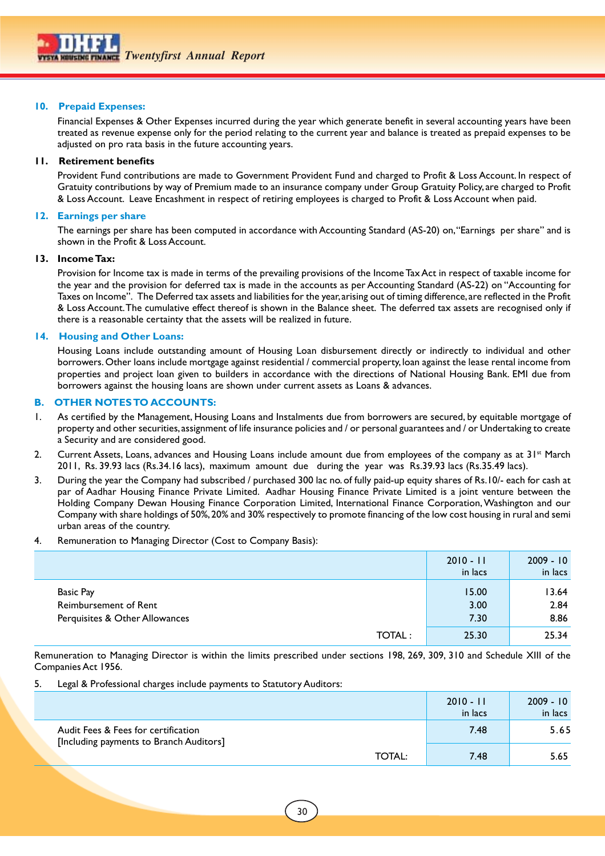## **10. Prepaid Expenses:**

Financial Expenses & Other Expenses incurred during the year which generate benefit in several accounting years have been treated as revenue expense only for the period relating to the current year and balance is treated as prepaid expenses to be adjusted on pro rata basis in the future accounting years.

## **11. Retirement benefits**

Provident Fund contributions are made to Government Provident Fund and charged to Profit & Loss Account. In respect of Gratuity contributions by way of Premium made to an insurance company under Group Gratuity Policy, are charged to Profit & Loss Account. Leave Encashment in respect of retiring employees is charged to Profit & Loss Account when paid.

## **12. Earnings per share**

The earnings per share has been computed in accordance with Accounting Standard (AS-20) on, "Earnings per share" and is shown in the Profit & Loss Account.

### **13. Income Tax:**

Provision for Income tax is made in terms of the prevailing provisions of the Income Tax Act in respect of taxable income for the year and the provision for deferred tax is made in the accounts as per Accounting Standard (AS-22) on "Accounting for Taxes on Income". The Deferred tax assets and liabilities for the year, arising out of timing difference, are reflected in the Profit & Loss Account. The cumulative effect thereof is shown in the Balance sheet. The deferred tax assets are recognised only if there is a reasonable certainty that the assets will be realized in future.

## **14. Housing and Other Loans:**

Housing Loans include outstanding amount of Housing Loan disbursement directly or indirectly to individual and other borrowers. Other loans include mortgage against residential / commercial property, loan against the lease rental income from properties and project loan given to builders in accordance with the directions of National Housing Bank. EMI due from borrowers against the housing loans are shown under current assets as Loans & advances.

## **B. OTHER NOTES TO ACCOUNTS:**

- 1. As certified by the Management, Housing Loans and Instalments due from borrowers are secured, by equitable mortgage of property and other securities, assignment of life insurance policies and / or personal guarantees and / or Undertaking to create a Security and are considered good.
- 2. Current Assets, Loans, advances and Housing Loans include amount due from employees of the company as at 31<sup>st</sup> March 2011, Rs. 39.93 lacs (Rs.34.16 lacs), maximum amount due during the year was Rs.39.93 lacs (Rs.35.49 lacs).
- 3. During the year the Company had subscribed / purchased 300 lac no. of fully paid-up equity shares of Rs.10/- each for cash at par of Aadhar Housing Finance Private Limited. Aadhar Housing Finance Private Limited is a joint venture between the Holding Company Dewan Housing Finance Corporation Limited, International Finance Corporation, Washington and our Company with share holdings of 50%, 20% and 30% respectively to promote financing of the low cost housing in rural and semi urban areas of the country.

### 4. Remuneration to Managing Director (Cost to Company Basis):

|                                | $2010 - 11$<br>in lacs | $2009 - 10$<br>in lacs |
|--------------------------------|------------------------|------------------------|
| Basic Pay                      | 15.00                  | 13.64                  |
| Reimbursement of Rent          | 3.00                   | 2.84                   |
| Perquisites & Other Allowances | 7.30                   | 8.86                   |
| <b>TOTAL:</b>                  | 25.30                  | 25.34                  |

Remuneration to Managing Director is within the limits prescribed under sections 198, 269, 309, 310 and Schedule XIII of the Companies Act 1956.

### 5. Legal & Professional charges include payments to Statutory Auditors:

|                                                                                | $2010 - 11$<br>in lacs | $2009 - 10$<br>in lacs |
|--------------------------------------------------------------------------------|------------------------|------------------------|
| Audit Fees & Fees for certification<br>[Including payments to Branch Auditors] | 7.48                   | 5.65                   |
| <b>TOTAL:</b>                                                                  | 7.48                   | 5.65                   |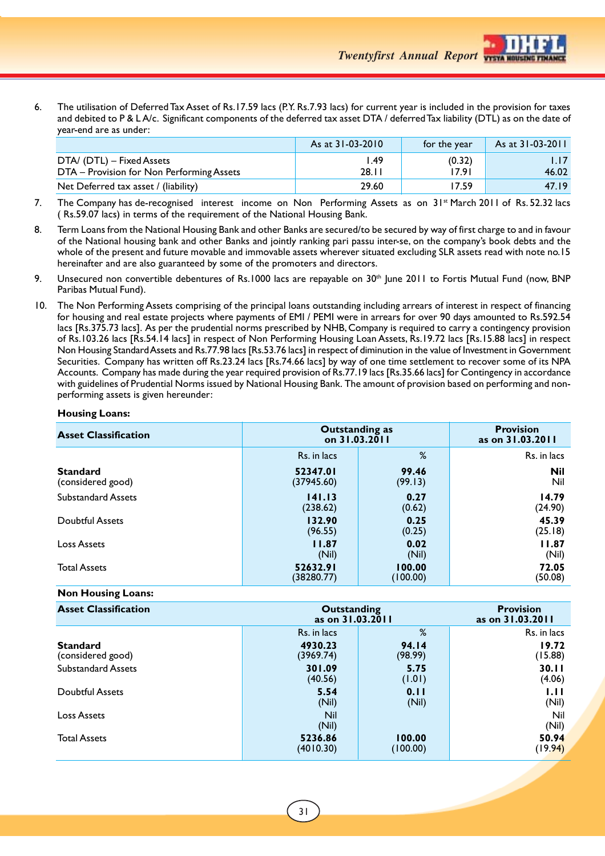*Twentyfirst Annual Report*

6. The utilisation of Deferred Tax Asset of Rs.17.59 lacs (P.Y. Rs.7.93 lacs) for current year is included in the provision for taxes and debited to P & L A/c. Significant components of the deferred tax asset DTA / deferred Tax liability (DTL) as on the date of year-end are as under:

|                                                                        | As at 31-03-2010 | for the year    | As at 31-03-2011 |
|------------------------------------------------------------------------|------------------|-----------------|------------------|
| DTA/ (DTL) – Fixed Assets<br>DTA - Provision for Non Performing Assets | l.49<br>28.11    | (0.32)<br>17.91 | 46.02            |
| Net Deferred tax asset / (liability)                                   | 29.60            | 17.59           | 47.19            |

- 7. The Company has de-recognised interest income on Non Performing Assets as on 31<sup>st</sup> March 2011 of Rs. 52.32 lacs ( Rs.59.07 lacs) in terms of the requirement of the National Housing Bank.
- 8. Term Loans from the National Housing Bank and other Banks are secured/to be secured by way of first charge to and in favour of the National housing bank and other Banks and jointly ranking pari passu inter-se, on the company's book debts and the whole of the present and future movable and immovable assets wherever situated excluding SLR assets read with note no.15 hereinafter and are also guaranteed by some of the promoters and directors.
- 9. Unsecured non convertible debentures of Rs.1000 lacs are repayable on  $30<sup>th</sup>$  June 2011 to Fortis Mutual Fund (now, BNP Paribas Mutual Fund).
- 10. The Non Performing Assets comprising of the principal loans outstanding including arrears of interest in respect of financing for housing and real estate projects where payments of EMI / PEMI were in arrears for over 90 days amounted to Rs.592.54 lacs [Rs.375.73 lacs]. As per the prudential norms prescribed by NHB, Company is required to carry a contingency provision of Rs.103.26 lacs [Rs.54.14 lacs] in respect of Non Performing Housing Loan Assets, Rs.19.72 lacs [Rs.15.88 lacs] in respect Non Housing Standard Assets and Rs.77.98 lacs [Rs.53.76 lacs] in respect of diminution in the value of Investment in Government Securities. Company has written off Rs.23.24 lacs [Rs.74.66 lacs] by way of one time settlement to recover some of its NPA Accounts. Company has made during the year required provision of Rs.77.19 lacs [Rs.35.66 lacs] for Contingency in accordance with guidelines of Prudential Norms issued by National Housing Bank. The amount of provision based on performing and nonperforming assets is given hereunder:

### **Housing Loans:**

| <b>Asset Classification</b> | <b>Outstanding as</b><br>on 31.03.2011 | <b>Provision</b><br>as on 31.03.2011 |             |
|-----------------------------|----------------------------------------|--------------------------------------|-------------|
|                             | Rs. in lacs                            | %                                    | Rs. in lacs |
| <b>Standard</b>             | 52347.01                               | 99.46                                | <b>Nil</b>  |
| (considered good)           | (37945.60)                             | (99.13)                              | Nil         |
| <b>Substandard Assets</b>   | 141.13                                 | 0.27                                 | 14.79       |
|                             | (238.62)                               | (0.62)                               | (24.90)     |
| <b>Doubtful Assets</b>      | 132.90                                 | 0.25                                 | 45.39       |
|                             | (96.55)                                | (0.25)                               | (25.18)     |
| Loss Assets                 | 11.87                                  | 0.02                                 | 11.87       |
|                             | (Nil)                                  | (Nil)                                | (Nil)       |
| <b>Total Assets</b>         | 52632.91                               | 100.00                               | 72.05       |
|                             | (38280.77)                             | (100.00)                             | (50.08)     |

## **Non Housing Loans:**

| <b>Asset Classification</b> | Outstanding<br>as on 31.03.2011 | <b>Provision</b><br>as on 31.03.2011 |              |
|-----------------------------|---------------------------------|--------------------------------------|--------------|
|                             | Rs. in lacs                     | %                                    | Rs. in lacs  |
| <b>Standard</b>             | 4930.23                         | <b>94.14</b>                         | 19.72        |
| (considered good)           | (3969.74)                       | (98.99)                              | (15.88)      |
| <b>Substandard Assets</b>   | 301.09                          | 5.75                                 | 30.11        |
|                             | (40.56)                         | (1.01)                               | (4.06)       |
| <b>Doubtful Assets</b>      | 5.54                            | 0.11                                 | 1.11         |
|                             | (Nil)                           | (Nil)                                | (Nil)        |
| <b>Loss Assets</b>          | <b>Nil</b><br>(Nil)             |                                      | Nil<br>(Nil) |
| <b>Total Assets</b>         | 5236.86                         | 100.00                               | 50.94        |
|                             | (4010.30)                       | (100.00)                             | (19.94)      |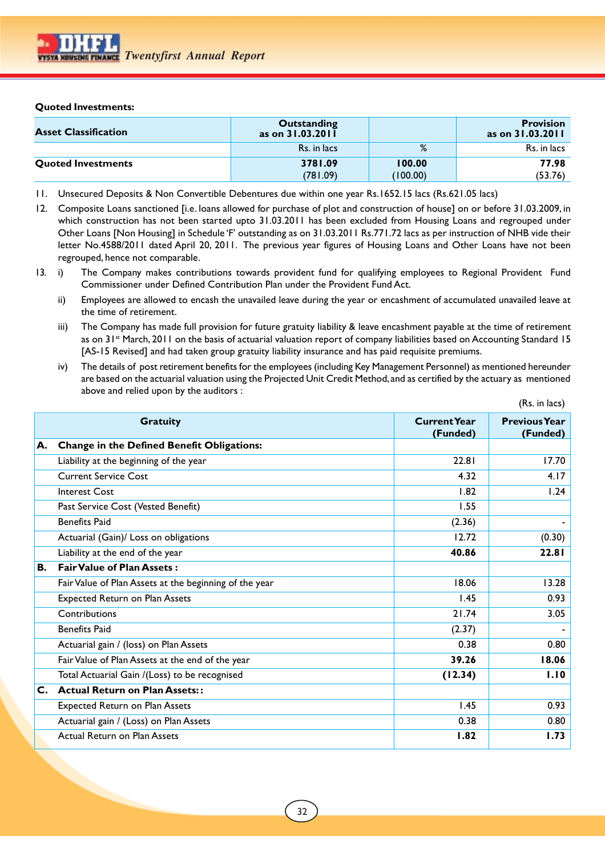## **Quoted Investments:**

| <b>Asset Classification</b> | Outstanding<br>as on 31.03.2011 |          | <b>Provision</b><br>as on 31.03.2011 |
|-----------------------------|---------------------------------|----------|--------------------------------------|
|                             | Rs. in lacs                     | %        | Rs. in lacs                          |
| <b>Quoted Investments</b>   | 3781.09                         | 100.00   | 77.98                                |
|                             | (781.09)                        | (100.00) | (53.76)                              |

- 11. Unsecured Deposits & Non Convertible Debentures due within one year Rs.1652.15 lacs (Rs.621.05 lacs)
- 12. Composite Loans sanctioned [i.e. loans allowed for purchase of plot and construction of house] on or before 31.03.2009, in which construction has not been started upto 31.03.2011 has been excluded from Housing Loans and regrouped under Other Loans [Non Housing] in Schedule 'F' outstanding as on 31.03.2011 Rs.771.72 lacs as per instruction of NHB vide their letter No.4588/2011 dated April 20, 2011. The previous year figures of Housing Loans and Other Loans have not been regrouped, hence not comparable.
- 13. i) The Company makes contributions towards provident fund for qualifying employees to Regional Provident Fund Commissioner under Defined Contribution Plan under the Provident Fund Act.
	- ii) Employees are allowed to encash the unavailed leave during the year or encashment of accumulated unavailed leave at the time of retirement.
	- iii) The Company has made full provision for future gratuity liability & leave encashment payable at the time of retirement as on 31<sup>st</sup> March, 2011 on the basis of actuarial valuation report of company liabilities based on Accounting Standard 15 [AS-15 Revised] and had taken group gratuity liability insurance and has paid requisite premiums.
	- iv) The details of post retirement benefits for the employees (including Key Management Personnel) as mentioned hereunder are based on the actuarial valuation using the Projected Unit Credit Method, and as certified by the actuary as mentioned above and relied upon by the auditors :

 $(D_n : n \text{ head})$ 

|                |                                                        |                                 | (15.111145)                      |
|----------------|--------------------------------------------------------|---------------------------------|----------------------------------|
|                | <b>Gratuity</b>                                        | <b>Current Year</b><br>(Funded) | <b>Previous Year</b><br>(Funded) |
| A.             | Change in the Defined Benefit Obligations:             |                                 |                                  |
|                | Liability at the beginning of the year                 | 22.81                           | 17.70                            |
|                | <b>Current Service Cost</b>                            | 4.32                            | 4.17                             |
|                | <b>Interest Cost</b>                                   | 1.82                            | 1.24                             |
|                | Past Service Cost (Vested Benefit)                     | 1.55                            |                                  |
|                | <b>Benefits Paid</b>                                   | (2.36)                          |                                  |
|                | Actuarial (Gain)/ Loss on obligations                  | 12.72                           | (0.30)                           |
|                | Liability at the end of the year                       | 40.86                           | 22.81                            |
| <b>B.</b>      | <b>Fair Value of Plan Assets:</b>                      |                                 |                                  |
|                | Fair Value of Plan Assets at the beginning of the year | 18.06                           | 13.28                            |
|                | <b>Expected Return on Plan Assets</b>                  | 1.45                            | 0.93                             |
|                | Contributions                                          | 21.74                           | 3.05                             |
|                | <b>Benefits Paid</b>                                   | (2.37)                          |                                  |
|                | Actuarial gain / (loss) on Plan Assets                 | 0.38                            | 0.80                             |
|                | Fair Value of Plan Assets at the end of the year       | 39.26                           | 18.06                            |
|                | Total Actuarial Gain /(Loss) to be recognised          | (12.34)                         | 1.10                             |
| $\mathsf{C}$ . | <b>Actual Return on Plan Assets::</b>                  |                                 |                                  |
|                | <b>Expected Return on Plan Assets</b>                  | 1.45                            | 0.93                             |
|                | Actuarial gain / (Loss) on Plan Assets                 | 0.38                            | 0.80                             |
|                | <b>Actual Return on Plan Assets</b>                    | 1.82                            | 1.73                             |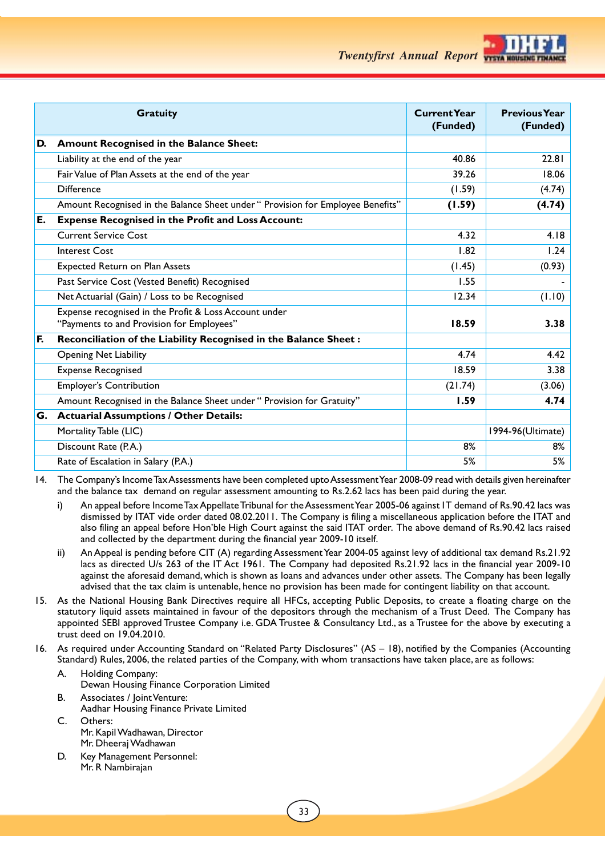

*Twentyfirst Annual Report*

|    | <b>Gratuity</b>                                                                 | <b>Current Year</b><br>(Funded) | <b>Previous Year</b><br>(Funded) |
|----|---------------------------------------------------------------------------------|---------------------------------|----------------------------------|
| D. | Amount Recognised in the Balance Sheet:                                         |                                 |                                  |
|    | Liability at the end of the year                                                | 40.86                           | 22.81                            |
|    | Fair Value of Plan Assets at the end of the year                                | 39.26                           | 18.06                            |
|    | <b>Difference</b>                                                               | (1.59)                          | (4.74)                           |
|    | Amount Recognised in the Balance Sheet under " Provision for Employee Benefits" | (1.59)                          | (4.74)                           |
| E. | <b>Expense Recognised in the Profit and Loss Account:</b>                       |                                 |                                  |
|    | <b>Current Service Cost</b>                                                     | 4.32                            | 4.18                             |
|    | <b>Interest Cost</b>                                                            | 1.82                            | 1.24                             |
|    | <b>Expected Return on Plan Assets</b>                                           | (1.45)                          | (0.93)                           |
|    | Past Service Cost (Vested Benefit) Recognised                                   | 1.55                            |                                  |
|    | Net Actuarial (Gain) / Loss to be Recognised                                    | 12.34                           | (1.10)                           |
|    | Expense recognised in the Profit & Loss Account under                           |                                 |                                  |
|    | "Payments to and Provision for Employees"                                       | 18.59                           | 3.38                             |
| F. | Reconciliation of the Liability Recognised in the Balance Sheet:                |                                 |                                  |
|    | <b>Opening Net Liability</b>                                                    | 4.74                            | 4.42                             |
|    | <b>Expense Recognised</b>                                                       | 18.59                           | 3.38                             |
|    | <b>Employer's Contribution</b>                                                  | (21.74)                         | (3.06)                           |
|    | Amount Recognised in the Balance Sheet under " Provision for Gratuity"          | 1.59                            | 4.74                             |
| G. | <b>Actuarial Assumptions / Other Details:</b>                                   |                                 |                                  |
|    | Mortality Table (LIC)                                                           |                                 | 1994-96(Ultimate)                |
|    | Discount Rate (P.A.)                                                            | 8%                              | 8%                               |
|    | Rate of Escalation in Salary (P.A.)                                             | 5%                              | 5%                               |

14. The Company's Income Tax Assessments have been completed upto Assessment Year 2008-09 read with details given hereinafter and the balance tax demand on regular assessment amounting to Rs.2.62 lacs has been paid during the year.

- i) An appeal before Income Tax Appellate Tribunal for the Assessment Year 2005-06 against IT demand of Rs.90.42 lacs was dismissed by ITAT vide order dated 08.02.2011. The Company is filing a miscellaneous application before the ITAT and also filing an appeal before Hon'ble High Court against the said ITAT order. The above demand of Rs.90.42 lacs raised and collected by the department during the financial year 2009-10 itself.
- ii) An Appeal is pending before CIT (A) regarding Assessment Year 2004-05 against levy of additional tax demand Rs.21.92 lacs as directed U/s 263 of the IT Act 1961. The Company had deposited Rs.21.92 lacs in the financial year 2009-10 against the aforesaid demand, which is shown as loans and advances under other assets. The Company has been legally advised that the tax claim is untenable, hence no provision has been made for contingent liability on that account.
- 15. As the National Housing Bank Directives require all HFCs, accepting Public Deposits, to create a floating charge on the statutory liquid assets maintained in favour of the depositors through the mechanism of a Trust Deed. The Company has appointed SEBI approved Trustee Company i.e. GDA Trustee & Consultancy Ltd., as a Trustee for the above by executing a trust deed on 19.04.2010.
- 16. As required under Accounting Standard on "Related Party Disclosures" (AS 18), notified by the Companies (Accounting Standard) Rules, 2006, the related parties of the Company, with whom transactions have taken place, are as follows:
	- A. Holding Company: Dewan Housing Finance Corporation Limited
	- B. Associates / Joint Venture: Aadhar Housing Finance Private Limited
	- C. Others: Mr. Kapil Wadhawan, Director Mr. Dheeraj Wadhawan
	- D. Key Management Personnel: Mr. R Nambirajan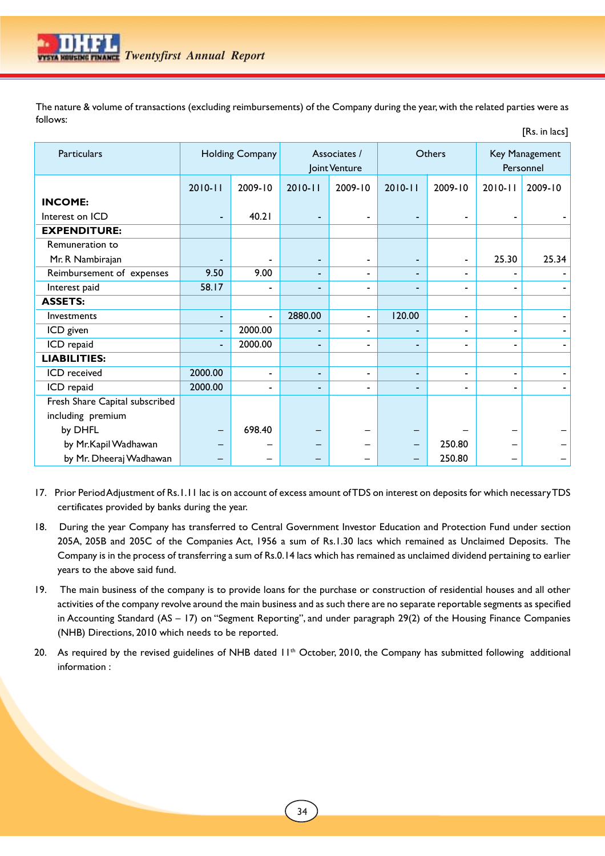The nature & volume of transactions (excluding reimbursements) of the Company during the year, with the related parties were as follows:

[Rs. in lacs]

| <b>Particulars</b>             |             | <b>Holding Company</b> |                | Associates /<br>Joint Venture |                | Others                   |             | Key Management<br>Personnel |
|--------------------------------|-------------|------------------------|----------------|-------------------------------|----------------|--------------------------|-------------|-----------------------------|
|                                | $2010 - 11$ | 2009-10                | $2010 - 11$    | 2009-10                       | $2010 - 11$    | 2009-10                  | $2010 - 11$ | 2009-10                     |
| <b>INCOME:</b>                 |             |                        |                |                               |                |                          |             |                             |
| Interest on ICD                |             | 40.21                  |                | $\blacksquare$                |                | $\blacksquare$           |             |                             |
| <b>EXPENDITURE:</b>            |             |                        |                |                               |                |                          |             |                             |
| Remuneration to                |             |                        |                |                               |                |                          |             |                             |
| Mr. R Nambirajan               |             |                        |                | $\blacksquare$                |                | $\blacksquare$           | 25.30       | 25.34                       |
| Reimbursement of expenses      | 9.50        | 9.00                   |                | $\overline{\phantom{0}}$      |                | $\overline{\phantom{a}}$ |             |                             |
| Interest paid                  | 58.17       |                        |                | -                             |                | $\overline{\phantom{a}}$ | -           |                             |
| <b>ASSETS:</b>                 |             |                        |                |                               |                |                          |             |                             |
| Investments                    |             | $\blacksquare$         | 2880.00        | $\blacksquare$                | 120.00         | $\overline{\phantom{a}}$ | -           |                             |
| ICD given                      | -           | 2000.00                |                | $\overline{\phantom{0}}$      |                | $\overline{\phantom{a}}$ |             |                             |
| ICD repaid                     | -           | 2000.00                |                | $\overline{\phantom{0}}$      |                | ۰                        |             |                             |
| <b>LIABILITIES:</b>            |             |                        |                |                               |                |                          |             |                             |
| ICD received                   | 2000.00     | $\blacksquare$         | $\blacksquare$ | $\overline{\phantom{a}}$      | $\blacksquare$ | $\blacksquare$           | -           |                             |
| ICD repaid                     | 2000.00     |                        |                | $\overline{\phantom{0}}$      |                | $\overline{\phantom{0}}$ |             |                             |
| Fresh Share Capital subscribed |             |                        |                |                               |                |                          |             |                             |
| including premium              |             |                        |                |                               |                |                          |             |                             |
| by DHFL                        |             | 698.40                 |                |                               |                |                          |             |                             |
| by Mr.Kapil Wadhawan           |             |                        |                |                               |                | 250.80                   |             |                             |
| by Mr. Dheeraj Wadhawan        |             |                        |                |                               |                | 250.80                   |             |                             |

- 17. Prior Period Adjustment of Rs.1.11 lac is on account of excess amount of TDS on interest on deposits for which necessary TDS certificates provided by banks during the year.
- 18. During the year Company has transferred to Central Government Investor Education and Protection Fund under section 205A, 205B and 205C of the Companies Act, 1956 a sum of Rs.1.30 lacs which remained as Unclaimed Deposits. The Company is in the process of transferring a sum of Rs.0.14 lacs which has remained as unclaimed dividend pertaining to earlier years to the above said fund.
- 19. The main business of the company is to provide loans for the purchase or construction of residential houses and all other activities of the company revolve around the main business and as such there are no separate reportable segments as specified in Accounting Standard (AS – 17) on "Segment Reporting", and under paragraph 29(2) of the Housing Finance Companies (NHB) Directions, 2010 which needs to be reported.
- 20. As required by the revised guidelines of NHB dated  $11<sup>th</sup>$  October, 2010, the Company has submitted following additional information :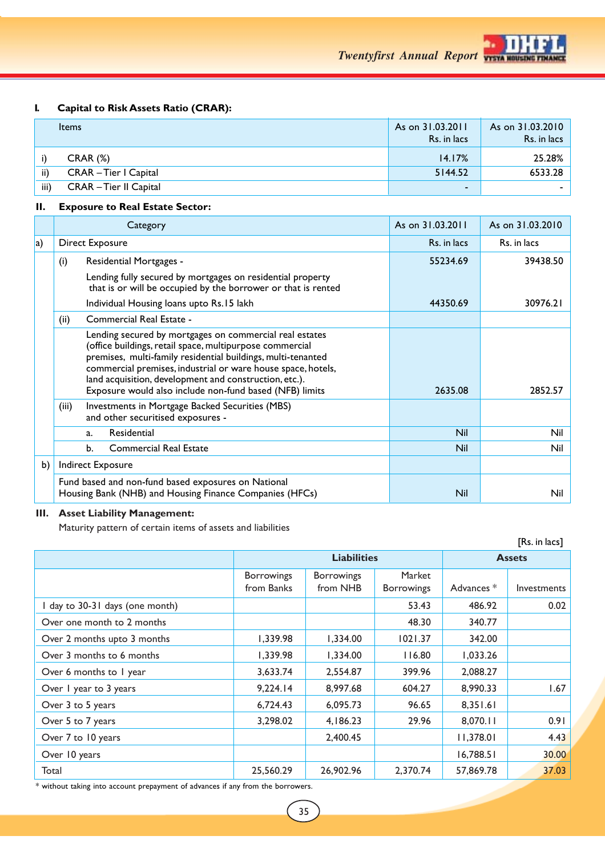

## **I. Capital to Risk Assets Ratio (CRAR):**

|      | <b>Items</b>           | As on 31.03.2011<br>Rs. in lacs | As on 31.03.2010<br>Rs. in lacs |
|------|------------------------|---------------------------------|---------------------------------|
|      | $CRAR (\%)$            | 14.17%                          | $25.28\%$                       |
| ii)  | CRAR – Tier I Capital  | 5144.52                         | 6533.28                         |
| iii) | CRAR – Tier II Capital | $\overline{\phantom{0}}$        |                                 |

## **II. Exposure to Real Estate Sector:**

|             | Category                                                                                                                                                                                                                                                                                                                                                                 | As on 31,03,2011 | As on 31.03.2010 |  |
|-------------|--------------------------------------------------------------------------------------------------------------------------------------------------------------------------------------------------------------------------------------------------------------------------------------------------------------------------------------------------------------------------|------------------|------------------|--|
| $ {\bf a})$ | <b>Direct Exposure</b>                                                                                                                                                                                                                                                                                                                                                   | Rs. in lacs      | Rs. in lacs      |  |
|             | (i)<br>Residential Mortgages -                                                                                                                                                                                                                                                                                                                                           | 55234.69         | 39438.50         |  |
|             | Lending fully secured by mortgages on residential property<br>that is or will be occupied by the borrower or that is rented                                                                                                                                                                                                                                              |                  |                  |  |
|             | Individual Housing loans upto Rs.15 lakh                                                                                                                                                                                                                                                                                                                                 | 44350.69         | 30976.21         |  |
|             | Commercial Real Estate -<br>(ii)                                                                                                                                                                                                                                                                                                                                         |                  |                  |  |
|             | Lending secured by mortgages on commercial real estates<br>(office buildings, retail space, multipurpose commercial<br>premises, multi-family residential buildings, multi-tenanted<br>commercial premises, industrial or ware house space, hotels,<br>land acquisition, development and construction, etc.).<br>Exposure would also include non-fund based (NFB) limits | 2635.08          | 2852.57          |  |
|             | Investments in Mortgage Backed Securities (MBS)<br>(iii)<br>and other securitised exposures -                                                                                                                                                                                                                                                                            |                  |                  |  |
|             | Residential<br>a.                                                                                                                                                                                                                                                                                                                                                        | Nil              | Nil              |  |
|             | <b>Commercial Real Estate</b><br>b.                                                                                                                                                                                                                                                                                                                                      | <b>Nil</b>       | Nil              |  |
| b)          | Indirect Exposure                                                                                                                                                                                                                                                                                                                                                        |                  |                  |  |
|             | Fund based and non-fund based exposures on National<br>Housing Bank (NHB) and Housing Finance Companies (HFCs)                                                                                                                                                                                                                                                           | <b>Nil</b>       | Nil              |  |

## **III. Asset Liability Management:**

Maturity pattern of certain items of assets and liabilities

|                                 |                                 |                               |                             |            | [Rs. in lacs] |
|---------------------------------|---------------------------------|-------------------------------|-----------------------------|------------|---------------|
|                                 |                                 | <b>Liabilities</b>            | <b>Assets</b>               |            |               |
|                                 | <b>Borrowings</b><br>from Banks | <b>Borrowings</b><br>from NHB | Market<br><b>Borrowings</b> | Advances * | Investments   |
| I day to 30-31 days (one month) |                                 |                               | 53.43                       | 486.92     | 0.02          |
| Over one month to 2 months      |                                 |                               | 48.30                       | 340.77     |               |
| Over 2 months upto 3 months     | 1,339.98                        | 1,334.00                      | 1021.37                     | 342.00     |               |
| Over 3 months to 6 months       | 1,339.98                        | 1,334.00                      | 116.80                      | 1,033.26   |               |
| Over 6 months to 1 year         | 3,633.74                        | 2,554.87                      | 399.96                      | 2,088.27   |               |
| Over I year to 3 years          | 9,224.14                        | 8,997.68                      | 604.27                      | 8,990.33   | 1.67          |
| Over 3 to 5 years               | 6,724.43                        | 6,095.73                      | 96.65                       | 8,351.61   |               |
| Over 5 to 7 years               | 3,298.02                        | 4,186.23                      | 29.96                       | 8,070.11   | 0.91          |
| Over 7 to 10 years              |                                 | 2,400.45                      |                             | 11,378.01  | 4.43          |
| Over 10 years                   |                                 |                               |                             | 16,788.51  | 30.00         |
| Total                           | 25,560.29                       | 26,902.96                     | 2.370.74                    | 57,869.78  | 37.03         |

 $\ast$  without taking into account prepayment of advances if any from the borrowers.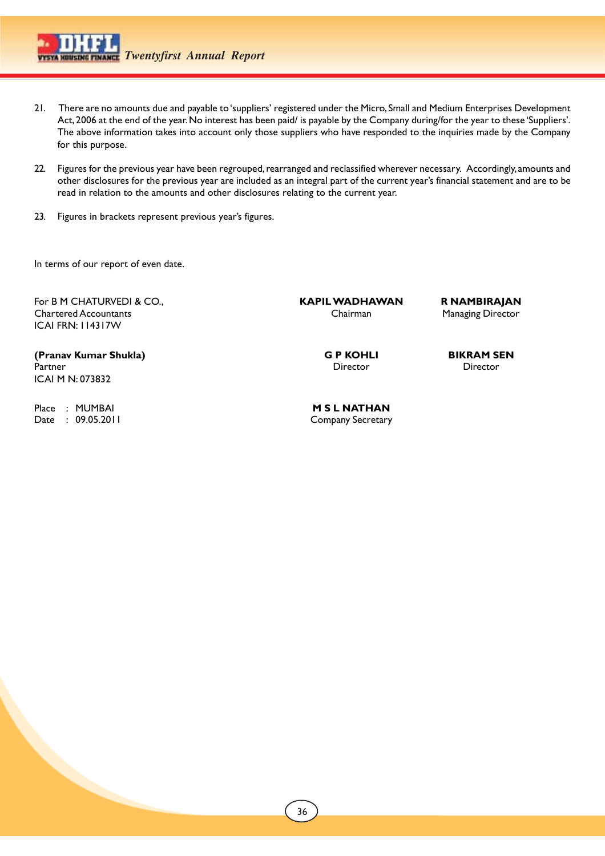- 21. There are no amounts due and payable to 'suppliers' registered under the Micro, Small and Medium Enterprises Development Act, 2006 at the end of the year. No interest has been paid/ is payable by the Company during/for the year to these 'Suppliers'. The above information takes into account only those suppliers who have responded to the inquiries made by the Company for this purpose.
- 22. Figures for the previous year have been regrouped, rearranged and reclassified wherever necessary. Accordingly, amounts and other disclosures for the previous year are included as an integral part of the current year's financial statement and are to be read in relation to the amounts and other disclosures relating to the current year.
- 23. Figures in brackets represent previous year's figures.

In terms of our report of even date.

For B M CHATURVEDI & CO., **KAPIL WADHAWAN R NAMBIRAJAN** Chartered Accountants Chairman Managing Director ICAI FRN: 114317W

**(Pranav Kumar Shukla) G P KOHLI BIKRAM SEN** Partner Director Director Director Director Director Director Director Director Director Director Director Director  $\sim$ ICAI M N: 073832

Place : MUMBAI **M S L NATHAN**<br>
Date : 09.05.2011

 $\mathbf{r}$ 

Company Secretary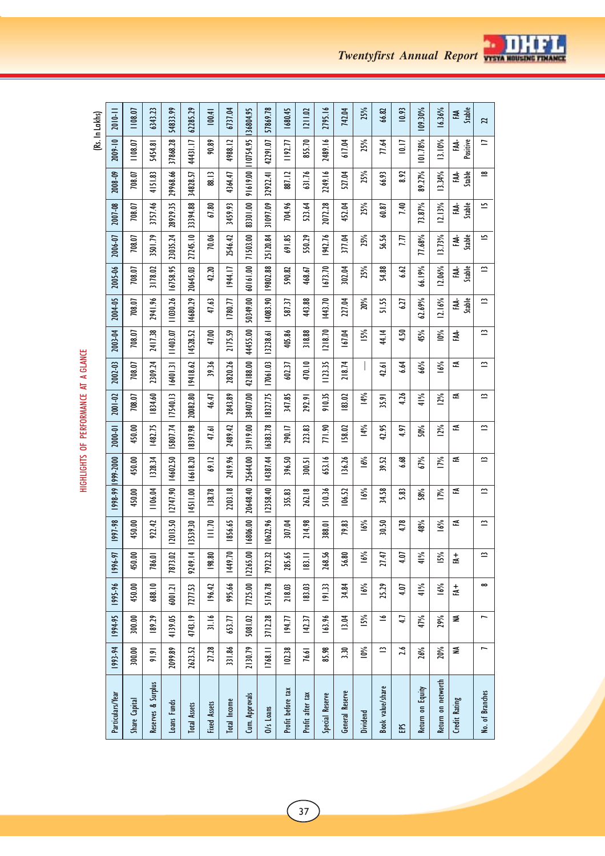| (Rs. In Lakhs) | 2010-11                 | 1108.07       | 6343.23            | 54833.99    | 62285.29               | 100.41              | 6737.04              | 36804.95       | 57869.78                 | 1680.45           | 1211.02          | 2795.16            | 742.04          | 25%      | 66.82            | 10.93 | 109.30%          | 16.36%             | Stable<br>줒            | 21              |
|----------------|-------------------------|---------------|--------------------|-------------|------------------------|---------------------|----------------------|----------------|--------------------------|-------------------|------------------|--------------------|-----------------|----------|------------------|-------|------------------|--------------------|------------------------|-----------------|
|                | 2009-10                 | 1108.07       | 5454.81            | 37868.28    | 44431.17               | 90.89               | 4988.12              | 10754.95       | 42291.07                 | 1192.77           | 855.70           | 2489.16            | 617.04          | 25%      | 77.64            | 10.17 | 101.78%          | 13.10%             | Positive<br>Ę.         | $\equiv$        |
|                | 2008-09                 | 708.07        | 4151.83            | 29968.66    | 34828.57               | 88.13               | 4364.47              | 91619.00       | 32922.41                 | 887.12            | 631.76           | 2249.16            | 527.04          | 25%      | 66.93            | 8.92  | 89.27%           | 13.34%             | Stable<br>EAA-         | $\cong$         |
|                | 2007-08                 | 708.07        | 3757.46            | 28929.35    | 33394.88               | 67.80               | 3459.93              | 83301.00       | 31097.09                 | 704.96            | 523.64           | 2072.28            | 452.04          | 25%      | 60.87            | 7.40  | 73.87%           | 12.13%             | Stable<br>₹.           | ٢               |
|                | 2006-07                 | 708.07        | 3501.79            | 23035.24    | 27245.10               | 70.06               | 2546.42              | 71503.00       | 25120.84                 | 691.85            | 550.29           | 1942.76            | 377.04          | 25%      | 56.56            | ΓIJ   | 77.68%           | 13.73%             | FAA-<br>Stable         | <u>ت</u>        |
|                | 2005-06                 | 708.07        | 3178.02            | 16758.95    | 20645.03               | 42.20               | 1944.17              | 60161.00       | 19802.88                 | 590.82            | 468.67           | 1673.70            | 302.04          | 25%      | 54.88            | 6.62  | 66.19%           | 12.06%             | Stable<br>ЕÁ.          | $\simeq$        |
|                | 2004-05                 | 708.07        | 2941.96            | 11030.26    | 14680.29               | 47.63               | 1780.77              | 50349.00       | 14083.90                 | 587.37            | 443.88           | 1443.70            | 227.04          | 20%      | 51.55            | 6.27  | 62.69%           | 12.16%             | Stable<br>₹.           | $\simeq$        |
|                | 2003-04                 | 708.07        | 2417.38            | 11403.07    | 14528.52               | 47.00               | 2175.59              | 44455.00       | 13238.61                 | 405.86            | 318.88           | 1218.70            | 167.04          | 15%      | 44.14            | 4.50  | 45%              | $10\%$             | FAA-                   | $\simeq$        |
|                | 2002-03                 | 708.07        | 2309.24            | 16401.31    | 19418.62               | 39.36               | 2820.26              | 42188.00       | 17061.03                 | 602.37            | 470.10           | 1123.35            | 218.74          |          | 42.61            | 6.64  | 66%              | 16%                | 준                      | ≃               |
|                | 2001-02                 | 708.07        | 834.60             | 17540.13    | 20082.80               | 46.47               | 2843.89              | 38407.00       | 18327.75                 | 347.85            | 292.91           | 910.35             | 183.02          | 14%      | 35.91            | 4.26  | 41%              | 12%                | 준                      | ⋍               |
|                | 2000-01                 | 450.00        | 1482.75            | 15807.74    | 18397.98               | 47.61               | 2489.42              | 31919.00       | 16383.78                 | 290.17            | 223.83           | 771.90             | 158.02          | 14%      | 42.95            | 4.97  | 50%              | $\frac{5}{2}$      | 군                      | $\simeq$        |
|                | 999-2000                | 450.00        | 1328.34            | 14602.50    | 16618.20               | 69.12               | 2419.96              | 25644.00       | 14387.44                 | 396.50            | 300.51           | 653.16             | 136.26          | 16%      | 39.52            | 6.68  | 67%              | ΙŅ,                | ≊                      | $\approx$       |
|                | 1998-99                 | 450.00        | 1106.04            | 12747.90    | 14511.00               | 138.78              | 2203.18              | 20648.40       | 12358.40                 | 355.83            | 262.18           | 510.36             | 106.52          | 16%      | 34.58            | 5.83  | 58%              | ΙŅ,                | 준                      | $\simeq$        |
|                | 1997-98                 | 450.00        | 922.42             | 12013.50    | 13539.30               | $\frac{1}{2}$       | 1856.65              | 16806.00       | 10622.96                 | 307.04            | 214.98           | 388.01             | 79.83           | 16%      | 30.50            | 4.78  | 48%              | 16%                | ≊                      | ≃               |
|                | $\overline{16}$<br>1996 | ຣ<br>50       | ē<br>ě             | S<br>787    | $\frac{4}{1}$<br>9249. | ຘ<br>$\tilde{=}$    | Ľ.<br>$\frac{44}{3}$ | ຣຸ<br>12265    | $\ddot{z}$<br><b>Z6L</b> | 59.<br>28         | $\equiv$<br>≊    | ž<br>$\frac{8}{3}$ | ຂ<br>≍          | 6%       | LÞ.<br>≂         | Ξ     | $\frac{5}{6}$    | 5%                 | $\frac{1}{2}$          | $\simeq$        |
|                | 1995-96                 | 450.00        | 688.10             | 6001.21     | 7277.53                | 196.42              | 995.66               | 7725.00        | 5176.78                  | 218.03            | 183.03           | 191.33             | 34.84           | 16%      | 25.29            | 4.07  | 41%              | 16%                | $\stackrel{+}{\simeq}$ | $\infty$        |
|                | 1994-95                 | 300.00        | 189.29             | 4139.05     | 4743.19                | 31.16               | 653.77               | 5081.02        | 3712.28                  | 194.77            | 142.37           | 163.96             | 13.04           | 15%      | ⋍                | 1,1   | 47%              | 29%                | ≨                      |                 |
|                | 1993-94                 | 300.00        | 91.91              | 2099.89     | 2623.52                | 27.28               | 331.86               | 2130.79        | 1768.11                  | 102.38            | 76.61            | 85.98              | 3.30            | 10%      | ⋍                | 2.6   | 26%              | 20%                | ≨                      |                 |
|                | Particulars/Year        | Share Capital | Reserves & Surplus | Loans Funds | <b>Total Assets</b>    | <b>Fixed Assets</b> | Total Income         | Cum. Approvals | O/s Loans                | Profit before tax | Profit after tax | Special Reserve    | General Reserve | Dividend | Book value/share | 5     | Return on Equity | Return on networth | Credit Rating          | No. of Branches |

HIGHLIGHTS OF PERFORMANCE AT A GLANCE HIGHLIGHTS OF PERFORMANCE AT A GLANCE

 $\sqrt{37}$ 



z.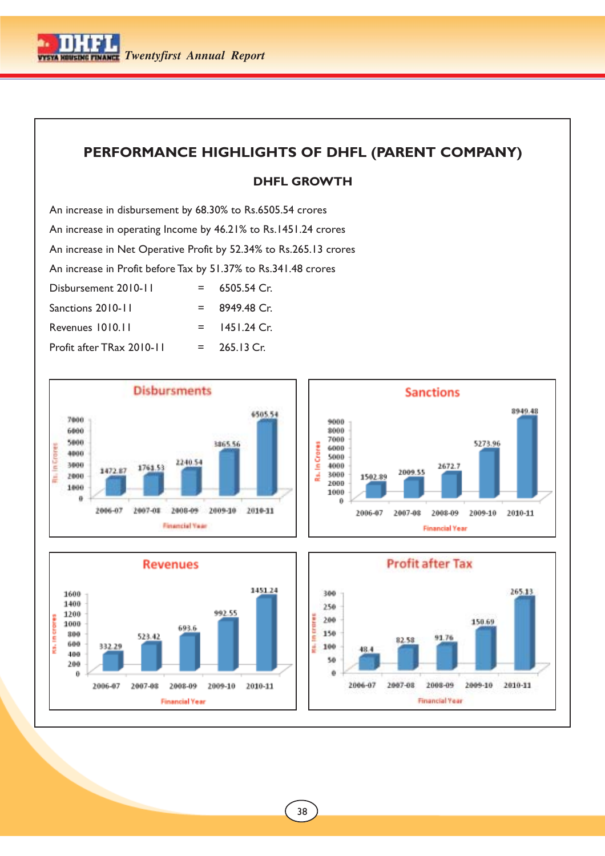

## **PERFORMANCE HIGHLIGHTS OF DHFL (PARENT COMPANY)**

## **DHFL GROWTH**

An increase in disbursement by 68.30% to Rs.6505.54 crores An increase in operating Income by 46.21% to Rs.1451.24 crores An increase in Net Operative Profit by 52.34% to Rs.265.13 crores An increase in Profit before Tax by 51.37% to Rs.341.48 crores  $Disbursement 2010-11 = 6505.54 Cr.$  $Sanctions 2010-11 = 8949.48$  Cr. Revenues 1010.11 = 1451.24 Cr. Profit after TRax  $2010-11 = 265.13$  Cr.





 $\overline{\phantom{a}}$